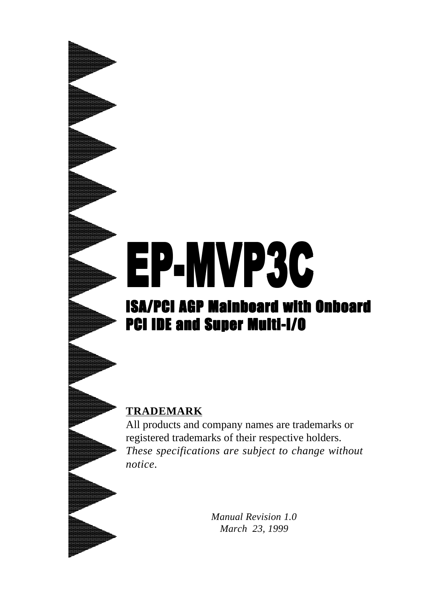# EP-MVP3C **ISA/PCI AGP Mainboard with O** PCI IDE and Super Multi-I/O

#### **TRADEMARK**

All products and company names are trademarks or registered trademarks of their respective holders. *These specifications are subject to change without notice.*

> *Manual Revision 1.0 March 23, 1999*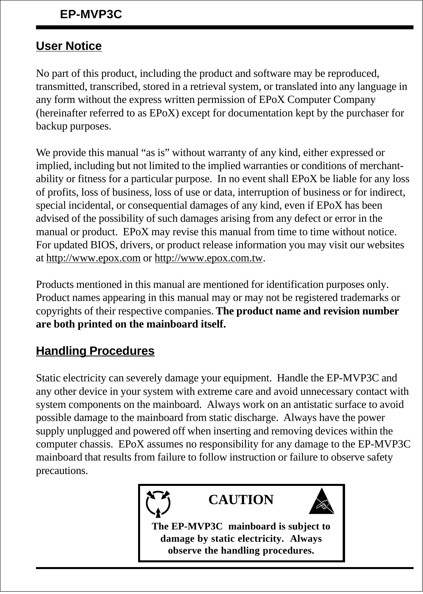## **User Notice**

No part of this product, including the product and software may be reproduced, transmitted, transcribed, stored in a retrieval system, or translated into any language in any form without the express written permission of EPoX Computer Company (hereinafter referred to as EPoX) except for documentation kept by the purchaser for backup purposes.

We provide this manual "as is" without warranty of any kind, either expressed or implied, including but not limited to the implied warranties or conditions of merchantability or fitness for a particular purpose. In no event shall EPoX be liable for any loss of profits, loss of business, loss of use or data, interruption of business or for indirect, special incidental, or consequential damages of any kind, even if EPoX has been advised of the possibility of such damages arising from any defect or error in the manual or product. EPoX may revise this manual from time to time without notice. For updated BIOS, drivers, or product release information you may visit our websites at http://www.epox.com or http://www.epox.com.tw.

Products mentioned in this manual are mentioned for identification purposes only. Product names appearing in this manual may or may not be registered trademarks or copyrights of their respective companies. **The product name and revision number are both printed on the mainboard itself.**

# **Handling Procedures**

Static electricity can severely damage your equipment. Handle the EP-MVP3C and any other device in your system with extreme care and avoid unnecessary contact with system components on the mainboard. Always work on an antistatic surface to avoid possible damage to the mainboard from static discharge. Always have the power supply unplugged and powered off when inserting and removing devices within the computer chassis. EPoX assumes no responsibility for any damage to the EP-MVP3C mainboard that results from failure to follow instruction or failure to observe safety precautions.



**CAUTION**



**The EP-MVP3C mainboard is subject to damage by static electricity. Always observe the handling procedures.**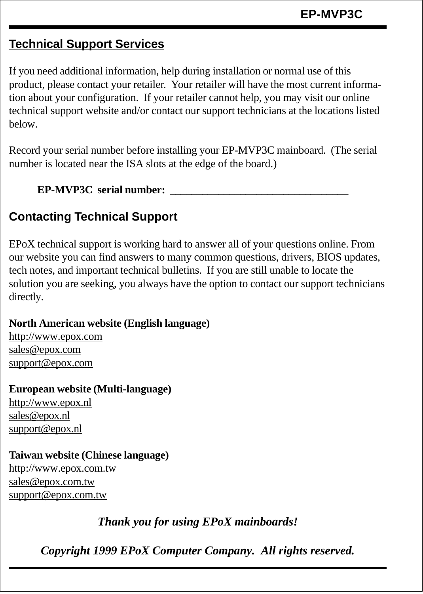#### **Technical Support Services**

If you need additional information, help during installation or normal use of this product, please contact your retailer. Your retailer will have the most current information about your configuration. If your retailer cannot help, you may visit our online technical support website and/or contact our support technicians at the locations listed below.

Record your serial number before installing your EP-MVP3C mainboard. (The serial number is located near the ISA slots at the edge of the board.)

EP-MVP3C serial number:

#### **Contacting Technical Support**

EPoX technical support is working hard to answer all of your questions online. From our website you can find answers to many common questions, drivers, BIOS updates, tech notes, and important technical bulletins. If you are still unable to locate the solution you are seeking, you always have the option to contact our support technicians directly.

#### **North American website (English language)**

http://www.epox.com sales@epox.com support@epox.com

#### **European website (Multi-language)**

http://www.epox.nl sales@epox.nl support@epox.nl

#### **Taiwan website (Chinese language)**

http://www.epox.com.tw sales@epox.com.tw support@epox.com.tw

*Thank you for using EPoX mainboards!*

*Copyright 1999 EPoX Computer Company. All rights reserved.*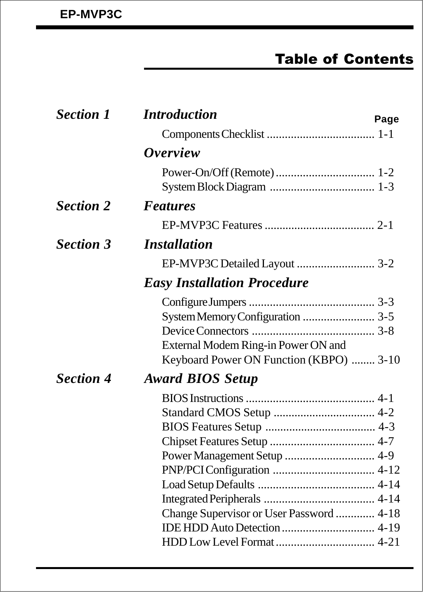# Table of Contents

| <b>Section 1</b> | <b>Introduction</b><br>Page                                                                                        |
|------------------|--------------------------------------------------------------------------------------------------------------------|
|                  |                                                                                                                    |
|                  | <i><b>Overview</b></i>                                                                                             |
|                  |                                                                                                                    |
| <b>Section 2</b> | <b>Features</b>                                                                                                    |
|                  |                                                                                                                    |
| <b>Section 3</b> | <b>Installation</b>                                                                                                |
|                  |                                                                                                                    |
|                  | <b>Easy Installation Procedure</b>                                                                                 |
|                  | System Memory Configuration  3-5<br>External Modem Ring-in Power ON and<br>Keyboard Power ON Function (KBPO)  3-10 |
| <b>Section 4</b> | <b>Award BIOS Setup</b>                                                                                            |
|                  | Change Supervisor or User Password  4-18                                                                           |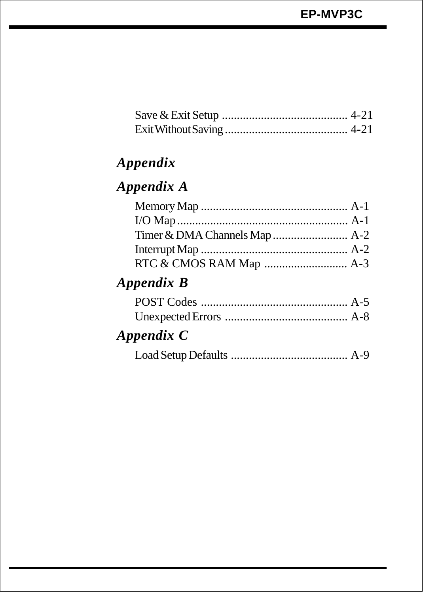# *Appendix*

# *Appendix A*

# *Appendix B*

# *Appendix C*

|--|--|--|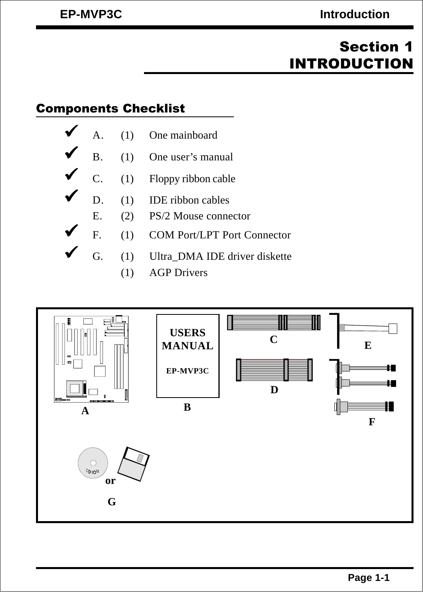# Section 1 INTRODUCTION

#### Components Checklist



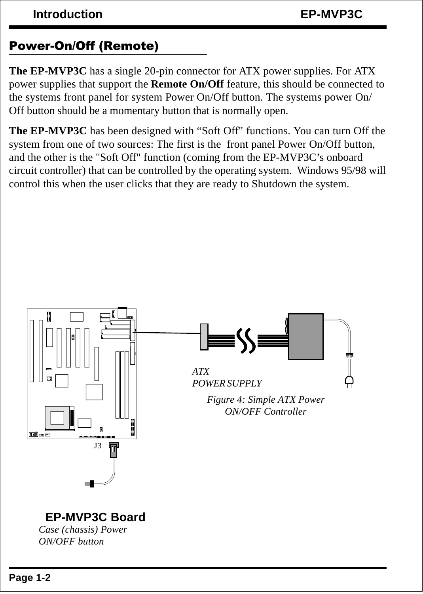#### Power-On/Off (Remote)

**The EP-MVP3C** has a single 20-pin connector for ATX power supplies. For ATX power supplies that support the **Remote On/Off** feature, this should be connected to the systems front panel for system Power On/Off button. The systems power On/ Off button should be a momentary button that is normally open.

**The EP-MVP3C** has been designed with "Soft Off" functions. You can turn Off the system from one of two sources: The first is the front panel Power On/Off button, and the other is the "Soft Off" function (coming from the EP-MVP3C's onboard circuit controller) that can be controlled by the operating system. Windows 95/98 will control this when the user clicks that they are ready to Shutdown the system.



*Case (chassis) Power ON/OFF button*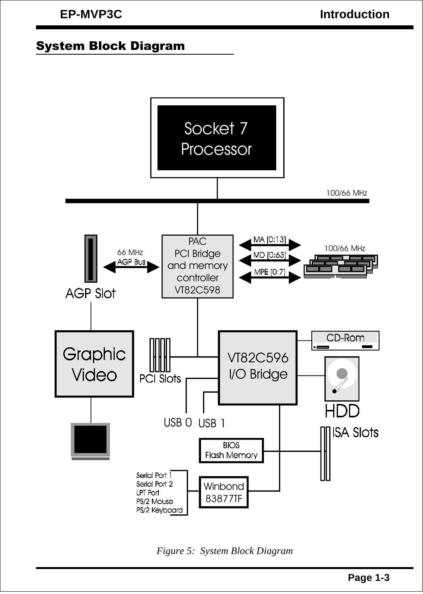### System Block Diagram



*Figure 5: System Block Diagram*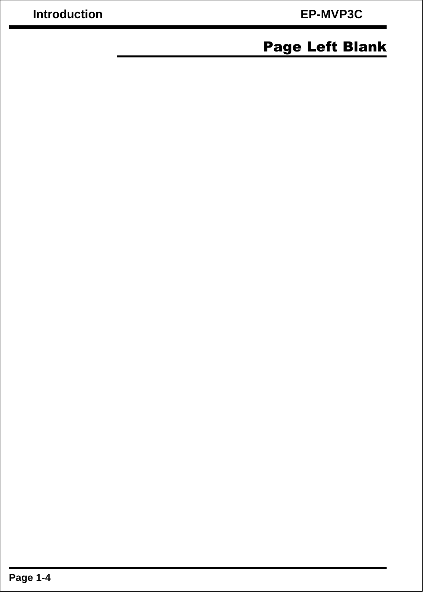# Page Left Blank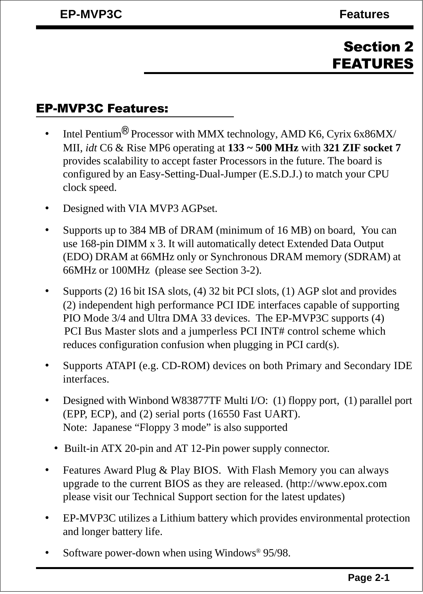# Section 2 FEATURES

#### EP-MVP3C Features:

- Intel Pentium® Processor with MMX technology, AMD K6, Cyrix 6x86MX/ MII, *idt* C6 & Rise MP6 operating at **133 ~ 500 MHz** with **321 ZIF socket 7** provides scalability to accept faster Processors in the future. The board is configured by an Easy-Setting-Dual-Jumper (E.S.D.J.) to match your CPU clock speed.
- Designed with VIA MVP3 AGPset.
- Supports up to 384 MB of DRAM (minimum of 16 MB) on board, You can use 168-pin DIMM x 3. It will automatically detect Extended Data Output (EDO) DRAM at 66MHz only or Synchronous DRAM memory (SDRAM) at 66MHz or 100MHz (please see Section 3-2).
- Supports (2) 16 bit ISA slots, (4) 32 bit PCI slots, (1) AGP slot and provides (2) independent high performance PCI IDE interfaces capable of supporting PIO Mode 3/4 and Ultra DMA 33 devices. The EP-MVP3C supports (4) PCI Bus Master slots and a jumperless PCI INT# control scheme which reduces configuration confusion when plugging in PCI card(s).
- Supports ATAPI (e.g. CD-ROM) devices on both Primary and Secondary IDE interfaces.
- Designed with Winbond W83877TF Multi I/O: (1) floppy port, (1) parallel port (EPP, ECP), and (2) serial ports (16550 Fast UART). Note: Japanese "Floppy 3 mode" is also supported
	- Built-in ATX 20-pin and AT 12-Pin power supply connector.
- Features Award Plug & Play BIOS. With Flash Memory you can always upgrade to the current BIOS as they are released. (http://www.epox.com please visit our Technical Support section for the latest updates)
- EP-MVP3C utilizes a Lithium battery which provides environmental protection and longer battery life.
- Software power-down when using Windows® 95/98.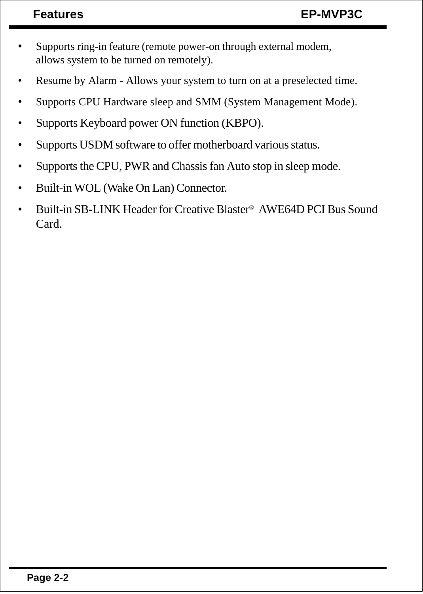- Supports ring-in feature (remote power-on through external modem, allows system to be turned on remotely).
- Resume by Alarm Allows your system to turn on at a preselected time.
- Supports CPU Hardware sleep and SMM (System Management Mode).
- Supports Keyboard power ON function (KBPO).
- Supports USDM software to offer motherboard various status.
- Supports the CPU, PWR and Chassis fan Auto stop in sleep mode.
- Built-in WOL (Wake On Lan) Connector.
- Built-in SB-LINK Header for Creative Blaster® AWE64D PCI Bus Sound Card.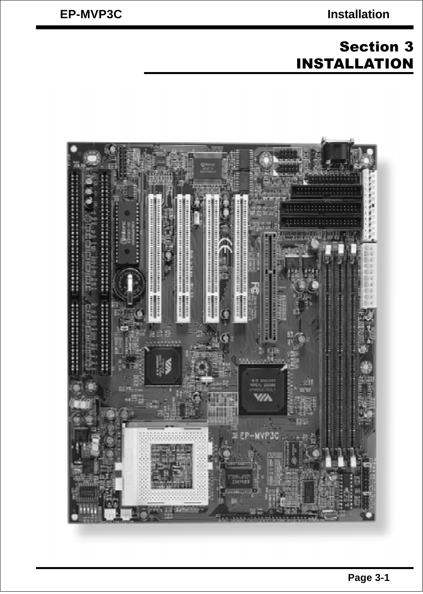# Section 3 INSTALLATION

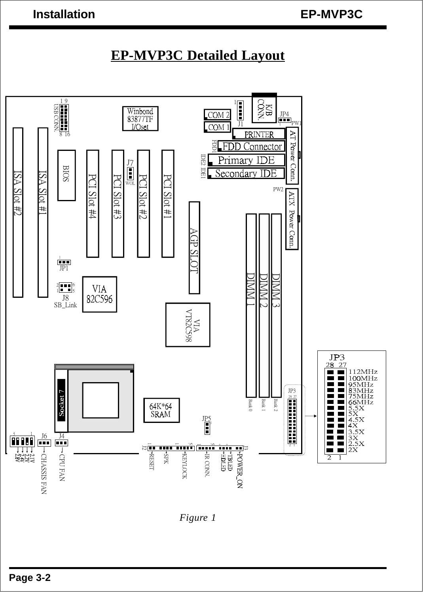# **EP-MVP3C Detailed Layout**



*Figure 1*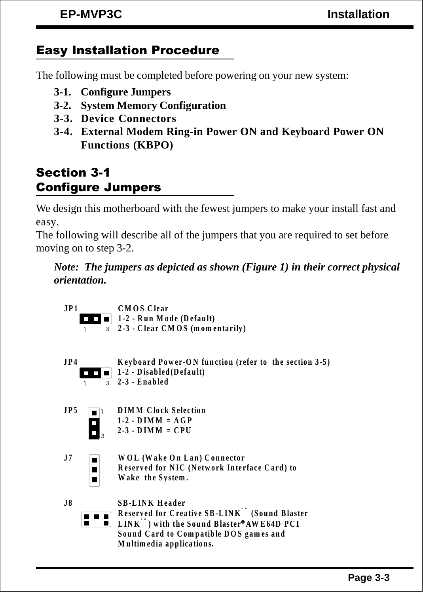#### Easy Installation Procedure

The following must be completed before powering on your new system:

- **3-1. Configure Jumpers**
- **3-2. System Memory Configuration**
- **3-3. Device Connectors**
- **3-4. External Modem Ring-in Power ON and Keyboard Power ON Functions (KBPO)**

#### Section 3-1 Configure Jumpers

We design this motherboard with the fewest jumpers to make your install fast and easy.

The following will describe all of the jumpers that you are required to set before moving on to step 3-2.

#### *Note: The jumpers as depicted as shown (Figure 1) in their correct physical orientation.*

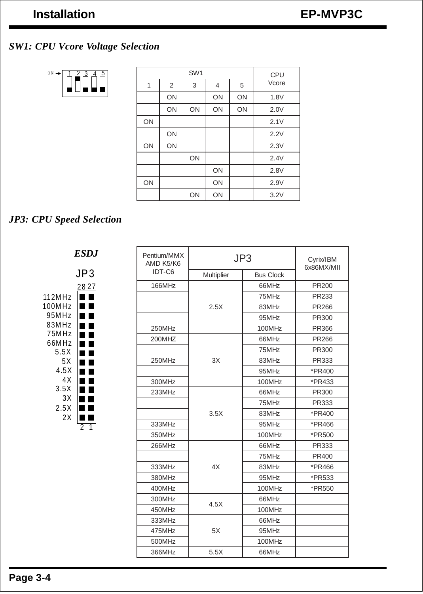#### *SW1: CPU Vcore Voltage Selection*

| $0N \rightarrow$<br>$\overline{2}$<br>3<br>$\overline{5}$<br>4 | SW <sub>1</sub> |    |    |    | CPU |       |
|----------------------------------------------------------------|-----------------|----|----|----|-----|-------|
|                                                                | $\mathbf{1}$    | 2  | 3  | 4  | 5   | Vcore |
|                                                                |                 | ON |    | ON | ON  | 1.8V  |
|                                                                |                 | ON | ON | ON | ON  | 2.0V  |
|                                                                | ON              |    |    |    |     | 2.1V  |
|                                                                |                 | ON |    |    |     | 2.2V  |
|                                                                | ON              | ON |    |    |     | 2.3V  |
|                                                                |                 |    | ON |    |     | 2.4V  |
|                                                                |                 |    |    | ON |     | 2.8V  |
|                                                                | ON              |    |    | ON |     | 2.9V  |
|                                                                |                 |    | ON | ON |     | 3.2V  |
|                                                                |                 |    |    |    |     |       |

#### *JP3: CPU Speed Selection*



| Pentium/MMX<br>AMD K5/K6 | JP3        |                  | Cyrix/IBM<br>6x86MX/MII |
|--------------------------|------------|------------------|-------------------------|
| IDT-C6                   | Multiplier | <b>Bus Clock</b> |                         |
| 166MHz                   |            | 66MHz            | PR200                   |
|                          |            | 75MHz            | PR233                   |
|                          | 2.5X       | 83MHz            | PR266                   |
|                          |            | 95MHz            | PR300                   |
| 250MHz                   |            | 100MHz           | PR366                   |
| 200MHZ                   |            | 66MHz            | PR266                   |
|                          |            | 75MHz            | PR300                   |
| 250MHz                   | 3X         | 83MHz            | PR333                   |
|                          |            | 95MHz            | *PR400                  |
| 300MHz                   |            | 100MHz           | *PR433                  |
| 233MHz                   |            | 66MHz            | PR300                   |
|                          |            | 75MHz            | PR333                   |
|                          | 3.5X       | 83MHz            | *PR400                  |
| 333MHz                   |            | 95MHz            | *PR466                  |
| 350MHz                   |            | 100MHz           | *PR500                  |
| 266MHz                   |            | 66MHz            | PR333                   |
|                          |            | 75MHz            | PR400                   |
| 333MHz                   | 4X         | 83MHz            | *PR466                  |
| 380MHz                   |            | 95MHz            | *PR533                  |
| 400MHz                   |            | 100MHz           | *PR550                  |
| 300MHz                   | 4.5X       | 66MHz            |                         |
| 450MHz                   |            | 100MHz           |                         |
| 333MHz                   |            | 66MHz            |                         |
| 475MHz                   | 5X         | 95MHz            |                         |
| 500MHz                   |            | 100MHz           |                         |
| 366MHz                   | 5.5X       | 66MHz            |                         |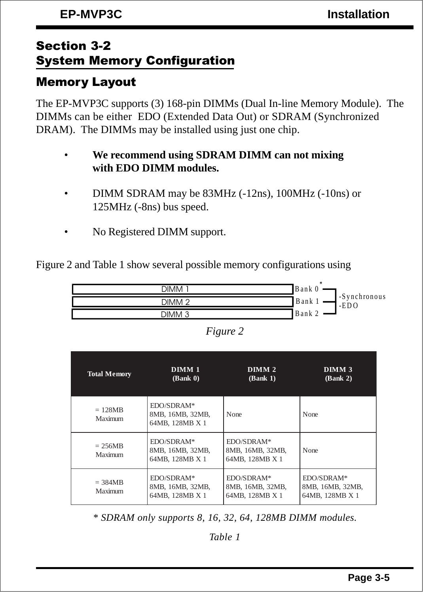## Section 3-2 System Memory Configuration

#### Memory Layout

The EP-MVP3C supports (3) 168-pin DIMMs (Dual In-line Memory Module). The DIMMs can be either EDO (Extended Data Out) or SDRAM (Synchronized DRAM). The DIMMs may be installed using just one chip.

- **We recommend using SDRAM DIMM can not mixing with EDO DIMM modules.**
- DIMM SDRAM may be 83MHz (-12ns), 100MHz (-10ns) or 125MHz (-8ns) bus speed.
- No Registered DIMM support.

Figure 2 and Table 1 show several possible memory configurations using



| <b>Total Memory</b>  | DIMM <sub>1</sub><br>(Bank 0)                     | DIMM <sub>2</sub><br>(Bank 1)                     | DIMM <sub>3</sub><br>(Bank 2)                     |
|----------------------|---------------------------------------------------|---------------------------------------------------|---------------------------------------------------|
| $= 128MB$<br>Maximum | EDO/SDRAM*<br>8MB, 16MB, 32MB,<br>64MB, 128MB X 1 | None                                              | None                                              |
| $= 256MB$<br>Maximum | EDO/SDRAM*<br>8MB, 16MB, 32MB,<br>64MB, 128MB X 1 | EDO/SDRAM*<br>8MB, 16MB, 32MB,<br>64MB, 128MB X 1 | None                                              |
| $=$ 384MB<br>Maximum | EDO/SDRAM*<br>8MB, 16MB, 32MB,<br>64MB, 128MB X 1 | EDO/SDRAM*<br>8MB, 16MB, 32MB,<br>64MB, 128MB X 1 | EDO/SDRAM*<br>8MB, 16MB, 32MB,<br>64MB, 128MB X 1 |

*Figure 2*

*\* SDRAM only supports 8, 16, 32, 64, 128MB DIMM modules.*

*Table 1*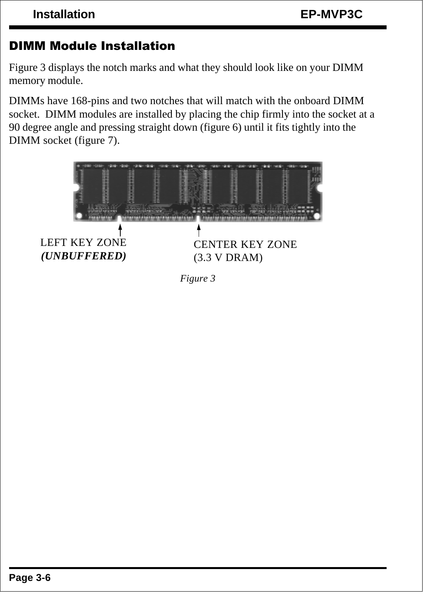## DIMM Module Installation

Figure 3 displays the notch marks and what they should look like on your DIMM memory module.

DIMMs have 168-pins and two notches that will match with the onboard DIMM socket. DIMM modules are installed by placing the chip firmly into the socket at a 90 degree angle and pressing straight down (figure 6) until it fits tightly into the DIMM socket (figure 7).



*Figure 3*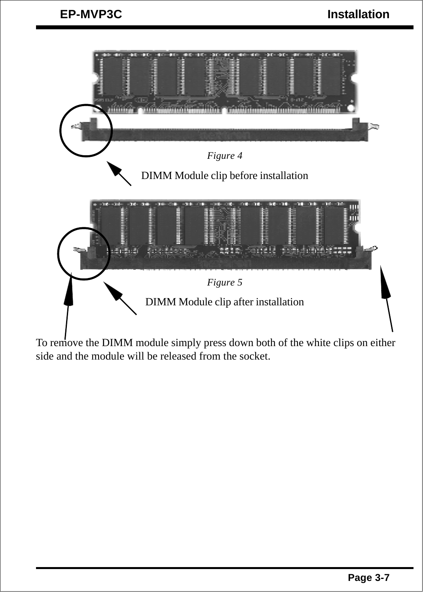

To remove the DIMM module simply press down both of the white clips on either side and the module will be released from the socket.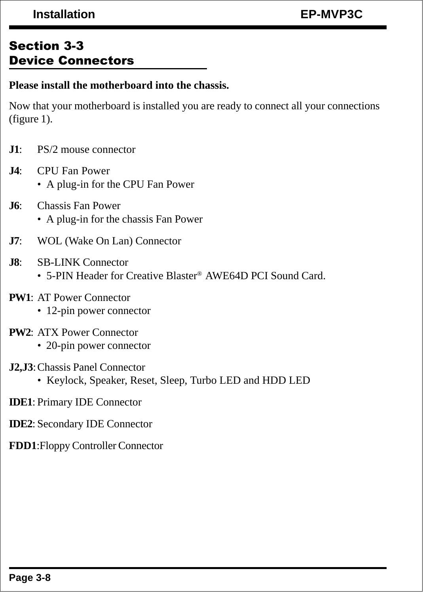## Section 3-3 Device Connectors

#### **Please install the motherboard into the chassis.**

Now that your motherboard is installed you are ready to connect all your connections (figure 1).

- **J1**: PS/2 mouse connector
- **J4**: CPU Fan Power • A plug-in for the CPU Fan Power
- **J6**: Chassis Fan Power • A plug-in for the chassis Fan Power
- **J7**: WOL (Wake On Lan) Connector
- **J8**: SB-LINK Connector • 5-PIN Header for Creative Blaster® AWE64D PCI Sound Card.
- **PW1**: AT Power Connector
	- 12-pin power connector
- **PW2**: ATX Power Connector
	- 20-pin power connector
- **J2,J3**:Chassis Panel Connector
	- Keylock, Speaker, Reset, Sleep, Turbo LED and HDD LED
- **IDE1**: Primary IDE Connector
- **IDE2**: Secondary IDE Connector
- **FDD1**:Floppy Controller Connector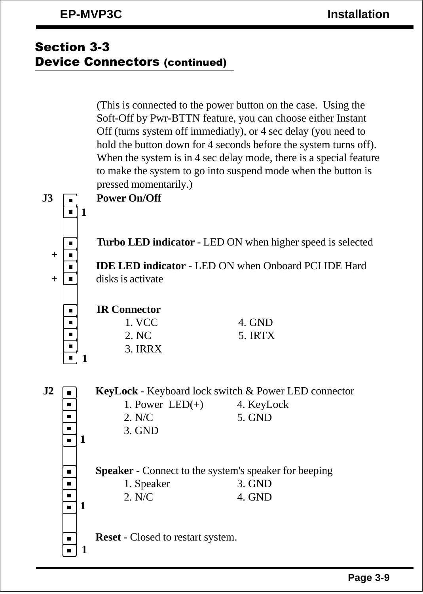## Section 3-3 Device Connectors (continued)

(This is connected to the power button on the case. Using the Soft-Off by Pwr-BTTN feature, you can choose either Instant Off (turns system off immediatly), or 4 sec delay (you need to hold the button down for 4 seconds before the system turns off). When the system is in 4 sec delay mode, there is a special feature to make the system to go into suspend mode when the button is pressed momentarily.)



**Power On/Off**

**Turbo LED indicator** - LED ON when higher speed is selected

**IDE LED indicator** - LED ON when Onboard PCI IDE Hard disks is activate

|  | <b>IR Connector</b> |
|--|---------------------|
|--|---------------------|

| 1. VCC  |  |
|---------|--|
| 2. NC   |  |
| 3. IRRX |  |

4. GND 5. IRTX

**J2**

**1**

 $\blacksquare$  $\blacksquare$  $\blacksquare$  $\overline{\phantom{a}}$ 

 $\blacksquare$  $\blacksquare$  $\overline{\phantom{a}}$  $\blacksquare$ 

**1**

**1**

**KeyLock** - Keyboard lock switch & Power LED connector

- 1. Power  $LED(+)$  4. KeyLock
- 3. GND

2. N/C 5. GND

**Speaker** - Connect to the system's speaker for beeping

- 1. Speaker 3. GND
- 2. N/C 4. GND

**Reset** - Closed to restart system.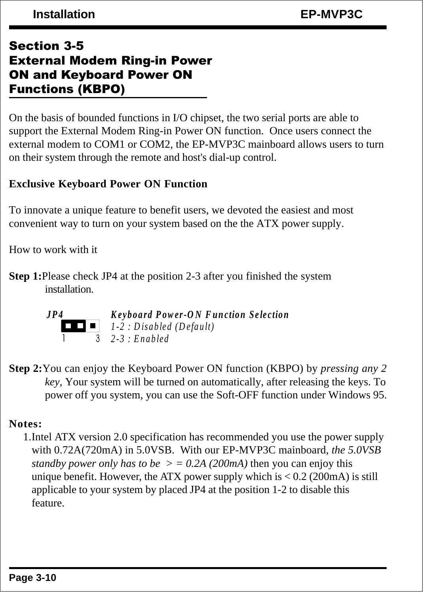#### Section 3-5 External Modem Ring-in Power ON and Keyboard Power ON Functions (KBPO)

On the basis of bounded functions in I/O chipset, the two serial ports are able to support the External Modem Ring-in Power ON function. Once users connect the external modem to COM1 or COM2, the EP-MVP3C mainboard allows users to turn on their system through the remote and host's dial-up control.

#### **Exclusive Keyboard Power ON Function**

To innovate a unique feature to benefit users, we devoted the easiest and most convenient way to turn on your system based on the the ATX power supply.

How to work with it

**Step 1:**Please check JP4 at the position 2-3 after you finished the system installation.



*JP4 K eyboard P ower-O N F unction Selection 1-2 : D isabled (D efault) 2-3 : Enabled* 

**Step 2:**You can enjoy the Keyboard Power ON function (KBPO) by *pressing any 2 key,* Your system will be turned on automatically, after releasing the keys. To power off you system, you can use the Soft-OFF function under Windows 95.

#### **Notes:**

1.Intel ATX version 2.0 specification has recommended you use the power supply with 0.72A(720mA) in 5.0VSB. With our EP-MVP3C mainboard, *the 5.0VSB standby power only has to be*  $> = 0.2A$  (200*mA*) then you can enjoy this unique benefit. However, the ATX power supply which is  $< 0.2$  (200mA) is still applicable to your system by placed JP4 at the position 1-2 to disable this feature.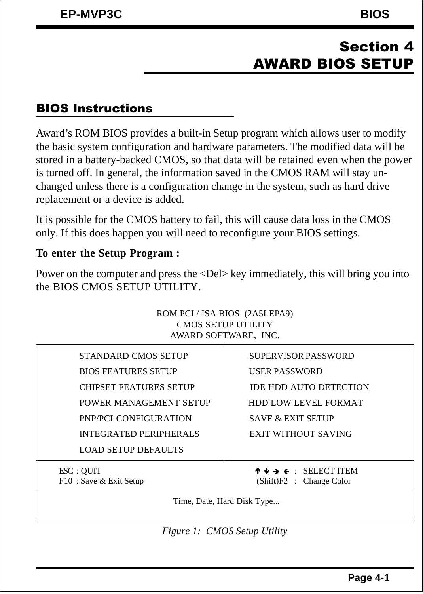# Section 4 AWARD BIOS SETUP

# BIOS Instructions

Award's ROM BIOS provides a built-in Setup program which allows user to modify the basic system configuration and hardware parameters. The modified data will be stored in a battery-backed CMOS, so that data will be retained even when the power is turned off. In general, the information saved in the CMOS RAM will stay unchanged unless there is a configuration change in the system, such as hard drive replacement or a device is added.

It is possible for the CMOS battery to fail, this will cause data loss in the CMOS only. If this does happen you will need to reconfigure your BIOS settings.

#### **To enter the Setup Program :**

Power on the computer and press the <Del> key immediately, this will bring you into the BIOS CMOS SETUP UTILITY.

 $POM PCI / IR$  A  $DIOS / 2A SI EPA$ (1)

| <b>NUME FULL ISA BIUS (ZAJLEFA?)</b><br><b>CMOS SETUP UTILITY</b><br>AWARD SOFTWARE, INC. |                              |  |  |
|-------------------------------------------------------------------------------------------|------------------------------|--|--|
| STANDARD CMOS SETUP                                                                       | <b>SUPERVISOR PASSWORD</b>   |  |  |
| <b>BIOS FEATURES SETUP</b>                                                                | <b>USER PASSWORD</b>         |  |  |
| <b>CHIPSET FEATURES SETUP</b>                                                             | IDE HDD AUTO DETECTION       |  |  |
| POWER MANAGEMENT SETUP                                                                    | <b>HDD LOW LEVEL FORMAT</b>  |  |  |
| PNP/PCI CONFIGURATION                                                                     | <b>SAVE &amp; EXIT SETUP</b> |  |  |
| INTEGRATED PERIPHERALS                                                                    | EXIT WITHOUT SAVING          |  |  |
| <b>LOAD SETUP DEFAULTS</b>                                                                |                              |  |  |
| $\uparrow \downarrow \rightarrow \leftarrow$ : SELECT ITEM<br>ESC : QUIT                  |                              |  |  |
| F10 : Save & Exit Setup<br>$(Shift)F2$ : Change Color                                     |                              |  |  |
| Time, Date, Hard Disk Type                                                                |                              |  |  |

*Figure 1: CMOS Setup Utility*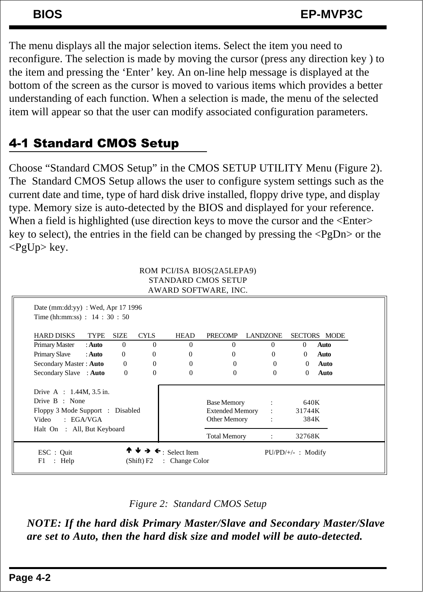The menu displays all the major selection items. Select the item you need to reconfigure. The selection is made by moving the cursor (press any direction key ) to the item and pressing the 'Enter' key. An on-line help message is displayed at the bottom of the screen as the cursor is moved to various items which provides a better understanding of each function. When a selection is made, the menu of the selected item will appear so that the user can modify associated configuration parameters.

# 4-1 Standard CMOS Setup

Choose "Standard CMOS Setup" in the CMOS SETUP UTILITY Menu (Figure 2). The Standard CMOS Setup allows the user to configure system settings such as the current date and time, type of hard disk drive installed, floppy drive type, and display type. Memory size is auto-detected by the BIOS and displayed for your reference. When a field is highlighted (use direction keys to move the cursor and the  $\leq$ Enter $>$ key to select), the entries in the field can be changed by pressing the <PgDn> or the  $<$ PgUp $>$  key.

> ROM PCI/ISA BIOS(2A5LEPA9) STANDARD CMOS SETUP AWARD SOFTWARE, INC.

| HARD DISKS                                                                                                              | <b>TYPE</b> | <b>SIZE</b> | <b>CYLS</b> | <b>HEAD</b> | <b>PRECOMP</b>                                                                      | LANDZONE             |                                  | SECTORS MODE |
|-------------------------------------------------------------------------------------------------------------------------|-------------|-------------|-------------|-------------|-------------------------------------------------------------------------------------|----------------------|----------------------------------|--------------|
| Primary Master                                                                                                          | : Auto      | $\Omega$    | $\Omega$    | $\Omega$    | $\Omega$                                                                            | $\Omega$             | $\Omega$                         | Auto         |
| Primary Slave                                                                                                           | : Auto      | $\Omega$    | $\Omega$    | $\Omega$    | $\Omega$                                                                            | $\Omega$             | $\Omega$                         | Auto         |
| Secondary Master: Auto                                                                                                  |             | $\Omega$    | $\Omega$    | $\Omega$    | $\Omega$                                                                            | $\Omega$             | $\Omega$                         | Auto         |
| Secondary Slave : Auto                                                                                                  |             | $\Omega$    | $\Omega$    | $\Omega$    | $\Omega$                                                                            | $\Omega$             | $\Omega$                         | Auto         |
| Drive $A : 1.44M, 3.5$ in.<br>Drive B: None<br>Floppy 3 Mode Support : Disabled<br>Video<br>Halt On : All, But Keyboard | EGA/VGA     |             |             |             | <b>Base Memory</b><br><b>Extended Memory</b><br>Other Memory<br><b>Total Memory</b> | $\ddot{\phantom{a}}$ | 640K<br>31744K<br>384K<br>32768K |              |

*Figure 2: Standard CMOS Setup*

*NOTE: If the hard disk Primary Master/Slave and Secondary Master/Slave are set to Auto, then the hard disk size and model will be auto-detected.*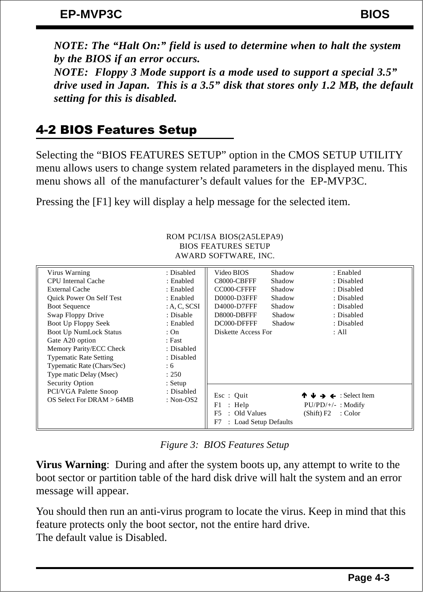*NOTE: The "Halt On:" field is used to determine when to halt the system by the BIOS if an error occurs.*

*NOTE: Floppy 3 Mode support is a mode used to support a special 3.5" drive used in Japan. This is a 3.5" disk that stores only 1.2 MB, the default setting for this is disabled.*

## 4-2 BIOS Features Setup

Selecting the "BIOS FEATURES SETUP" option in the CMOS SETUP UTILITY menu allows users to change system related parameters in the displayed menu. This menu shows all of the manufacturer's default values for the EP-MVP3C.

> ROM PCI/ISA BIOS(2A5LEPA9) BIOS FEATURES SETUP

Pressing the [F1] key will display a help message for the selected item.

|                                                                                                                                                                                                                                                                                                                                                                 |                                                                                                                                                                       | AWARD SOFTWARE, INC.                                                                                                        |                                                                    |                                                                                                        |
|-----------------------------------------------------------------------------------------------------------------------------------------------------------------------------------------------------------------------------------------------------------------------------------------------------------------------------------------------------------------|-----------------------------------------------------------------------------------------------------------------------------------------------------------------------|-----------------------------------------------------------------------------------------------------------------------------|--------------------------------------------------------------------|--------------------------------------------------------------------------------------------------------|
| Virus Warning<br><b>CPU</b> Internal Cache<br>External Cache<br><b>Ouick Power On Self Test</b><br><b>Boot Sequence</b><br>Swap Floppy Drive<br>Boot Up Floppy Seek<br><b>Boot Up NumLock Status</b><br>Gate A20 option<br>Memory Parity/ECC Check<br><b>Typematic Rate Setting</b><br>Typematic Rate (Chars/Sec)<br>Type matic Delay (Msec)<br>Security Option | : Disabled<br>: Enabled<br>: Enabled<br>: Enabled<br>: A, C, SCSI<br>: Disable<br>: Enabled<br>: On<br>: Fast<br>: Disabled<br>: Disabled<br>:6<br>: 250<br>$:$ Setup | Video BIOS<br>C8000-CBFFF<br>CC000-CFFFF<br>D0000-D3FFF<br>D4000-D7FFF<br>D8000-DBFFF<br>DC000-DFFFF<br>Diskette Access For | Shadow<br>Shadow<br>Shadow<br>Shadow<br>Shadow<br>Shadow<br>Shadow | : Enabled<br>: Disabled<br>: Disabled<br>: Disabled<br>: Disabled<br>: Disabled<br>: Disabled<br>: All |
| PCI/VGA Palette Snoop<br>OS Select For DRAM > 64MB                                                                                                                                                                                                                                                                                                              | : Disabled<br>: Non- $OS2$                                                                                                                                            | Esc : Quit<br>$\therefore$ Help<br>F1<br>: Old Values<br>F <sub>5</sub><br>: Load Setup Defaults<br>F7                      |                                                                    | $\triangle$ : Select Item<br>$PU/PD/+/-$ : Modify<br>(Shift) F2<br>: Color                             |

*Figure 3: BIOS Features Setup*

**Virus Warning**:During and after the system boots up, any attempt to write to the boot sector or partition table of the hard disk drive will halt the system and an error message will appear.

You should then run an anti-virus program to locate the virus. Keep in mind that this feature protects only the boot sector, not the entire hard drive. The default value is Disabled.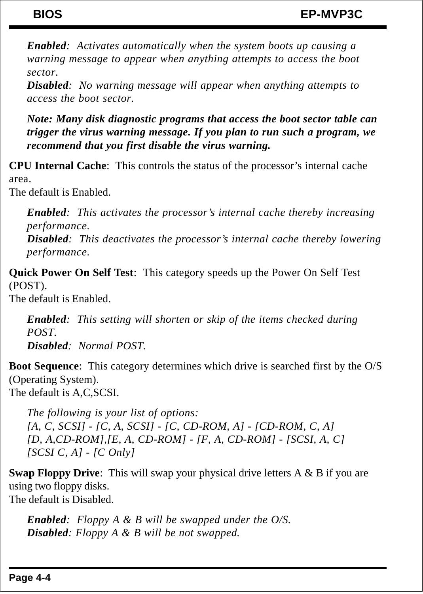*Enabled: Activates automatically when the system boots up causing a warning message to appear when anything attempts to access the boot sector.*

*Disabled: No warning message will appear when anything attempts to access the boot sector.*

*Note: Many disk diagnostic programs that access the boot sector table can trigger the virus warning message. If you plan to run such a program, we recommend that you first disable the virus warning.*

**CPU Internal Cache**: This controls the status of the processor's internal cache area.

The default is Enabled.

*Enabled: This activates the processor's internal cache thereby increasing performance.*

*Disabled: This deactivates the processor's internal cache thereby lowering performance.*

**Quick Power On Self Test**: This category speeds up the Power On Self Test (POST).

The default is Enabled.

*Enabled: This setting will shorten or skip of the items checked during POST. Disabled: Normal POST.*

**Boot Sequence**: This category determines which drive is searched first by the O/S (Operating System). The default is A,C,SCSI.

*The following is your list of options: [A, C, SCSI] - [C, A, SCSI] - [C, CD-ROM, A] - [CD-ROM, C, A] [D, A,CD-ROM],[E, A, CD-ROM] - [F, A, CD-ROM] - [SCSI, A, C] [SCSI C, A] - [C Only]*

**Swap Floppy Drive**: This will swap your physical drive letters A & B if you are using two floppy disks.

The default is Disabled.

*Enabled: Floppy A & B will be swapped under the O/S. Disabled: Floppy A & B will be not swapped.*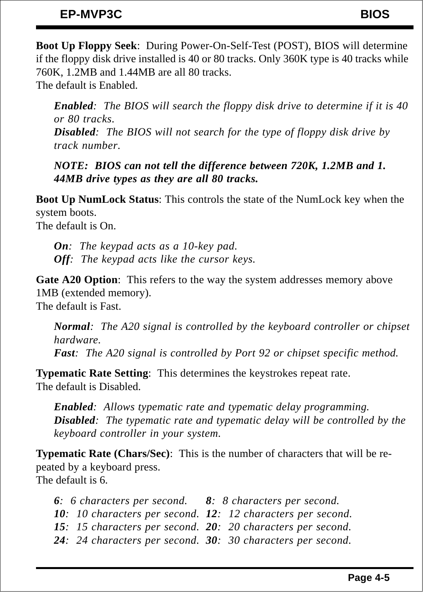**Boot Up Floppy Seek**: During Power-On-Self-Test (POST), BIOS will determine if the floppy disk drive installed is 40 or 80 tracks. Only 360K type is 40 tracks while 760K, 1.2MB and 1.44MB are all 80 tracks.

The default is Enabled.

*Enabled: The BIOS will search the floppy disk drive to determine if it is 40 or 80 tracks. Disabled: The BIOS will not search for the type of floppy disk drive by track number.*

*NOTE: BIOS can not tell the difference between 720K, 1.2MB and 1. 44MB drive types as they are all 80 tracks.*

**Boot Up NumLock Status**: This controls the state of the NumLock key when the system boots.

The default is On.

*On: The keypad acts as a 10-key pad. Off: The keypad acts like the cursor keys.*

Gate A20 Option: This refers to the way the system addresses memory above 1MB (extended memory).

The default is Fast.

*Normal: The A20 signal is controlled by the keyboard controller or chipset hardware. Fast: The A20 signal is controlled by Port 92 or chipset specific method.*

**Typematic Rate Setting**: This determines the keystrokes repeat rate. The default is Disabled.

*Enabled: Allows typematic rate and typematic delay programming. Disabled: The typematic rate and typematic delay will be controlled by the keyboard controller in your system.*

**Typematic Rate (Chars/Sec)**: This is the number of characters that will be repeated by a keyboard press. The default is 6.

*: 6 characters per second. 8: 8 characters per second. : 10 characters per second. 12: 12 characters per second. : 15 characters per second. 20: 20 characters per second. : 24 characters per second. 30: 30 characters per second.*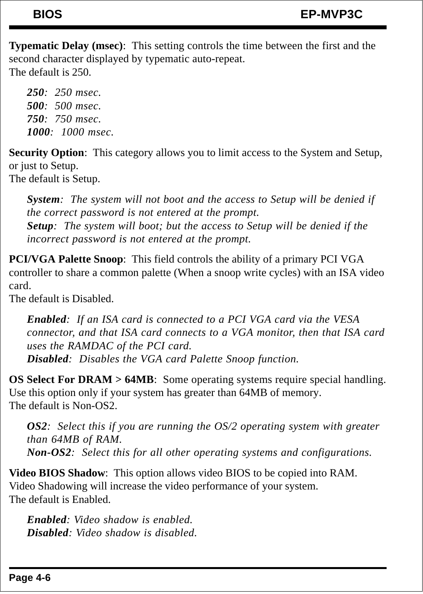**Typematic Delay (msec)**: This setting controls the time between the first and the second character displayed by typematic auto-repeat. The default is 250.

*: 250 msec. : 500 msec. : 750 msec. : 1000 msec.*

**Security Option**: This category allows you to limit access to the System and Setup, or just to Setup.

The default is Setup.

*System: The system will not boot and the access to Setup will be denied if the correct password is not entered at the prompt. Setup: The system will boot; but the access to Setup will be denied if the incorrect password is not entered at the prompt.*

**PCI/VGA Palette Snoop**: This field controls the ability of a primary PCI VGA controller to share a common palette (When a snoop write cycles) with an ISA video card.

The default is Disabled.

*Enabled: If an ISA card is connected to a PCI VGA card via the VESA connector, and that ISA card connects to a VGA monitor, then that ISA card uses the RAMDAC of the PCI card. Disabled: Disables the VGA card Palette Snoop function.*

**OS Select For DRAM > 64MB**: Some operating systems require special handling. Use this option only if your system has greater than 64MB of memory. The default is Non-OS2.

*OS2: Select this if you are running the OS/2 operating system with greater than 64MB of RAM. Non-OS2: Select this for all other operating systems and configurations.*

**Video BIOS Shadow**: This option allows video BIOS to be copied into RAM. Video Shadowing will increase the video performance of your system. The default is Enabled.

*Enabled: Video shadow is enabled. Disabled: Video shadow is disabled.*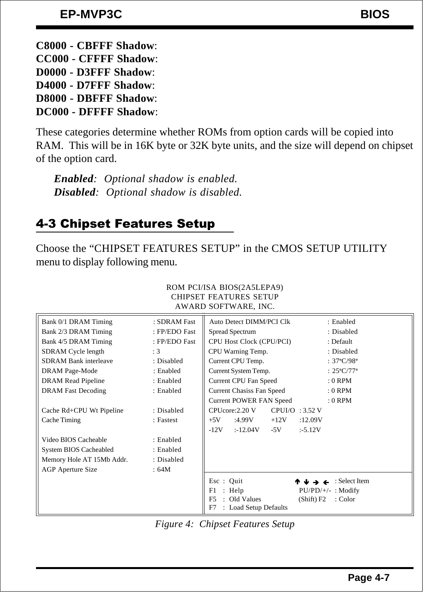**C8000 - CBFFF Shadow**: **CC000 - CFFFF Shadow**: **D0000 - D3FFF Shadow**: **D4000 - D7FFF Shadow**: **D8000 - DBFFF Shadow**: **DC000 - DFFFF Shadow**:

These categories determine whether ROMs from option cards will be copied into RAM. This will be in 16K byte or 32K byte units, and the size will depend on chipset of the option card.

*Enabled: Optional shadow is enabled. Disabled: Optional shadow is disabled.*

## 4-3 Chipset Features Setup

Choose the "CHIPSET FEATURES SETUP" in the CMOS SETUP UTILITY menu to display following menu.

| Bank 0/1 DRAM Timing         | : SDRAM Fast  | Auto Detect DIMM/PCI Clk<br>: Enabled                                   |
|------------------------------|---------------|-------------------------------------------------------------------------|
|                              |               |                                                                         |
| Bank 2/3 DRAM Timing         | : FP/EDO Fast | : Disabled<br>Spread Spectrum                                           |
| Bank 4/5 DRAM Timing         | : FP/EDO Fast | CPU Host Clock (CPU/PCI)<br>: Default                                   |
| SDRAM Cycle length           | :3            | CPU Warning Temp.<br>: Disabled                                         |
| <b>SDRAM Bank interleave</b> | : Disabled    | Current CPU Temp.<br>: $37^{\circ}$ C/98°                               |
| DRAM Page-Mode               | : Enabled     | Current System Temp.<br>: $25^{\circ}$ C/77°                            |
| DRAM Read Pipeline           | : Enabled     | Current CPU Fan Speed<br>$: 0$ RPM                                      |
| <b>DRAM Fast Decoding</b>    | : Enabled     | Current Chasiss Fan Speed<br>$: 0$ RPM                                  |
|                              |               | <b>Current POWER FAN Speed</b><br>$: 0$ RPM                             |
| Cache Rd+CPU Wt Pipeline     | : Disabled    | CPUcore:2.20 V<br>CPUI/O: $3.52$ V                                      |
| Cache Timing                 | : Fastest     | :4.99V<br>$+12V$<br>:12.09V<br>$+5V$                                    |
|                              |               | $-12V$ :-12.04V<br>$-5V$<br>$: -5.12V$                                  |
| Video BIOS Cacheable         | : Enabled     |                                                                         |
| System BIOS Cacheabled       | : Enabled     |                                                                         |
| Memory Hole AT 15Mb Addr.    | : Disabled    |                                                                         |
| <b>AGP</b> Aperture Size     | :64M          |                                                                         |
|                              |               | Esc: Quit<br>$\uparrow \downarrow \rightarrow \leftarrow$ : Select Item |
|                              |               | : Help<br>$PU/PD/+/-$ : Modify<br>F1                                    |
|                              |               | : Old Values<br>(Shift) F2<br>: Color<br>F5                             |
|                              |               | : Load Setup Defaults<br>F7                                             |
|                              |               |                                                                         |

ROM PCI/ISA BIOS(2A5LEPA9) CHIPSET FEATURES SETUP AWARD SOFTWARE, INC.

*Figure 4: Chipset Features Setup*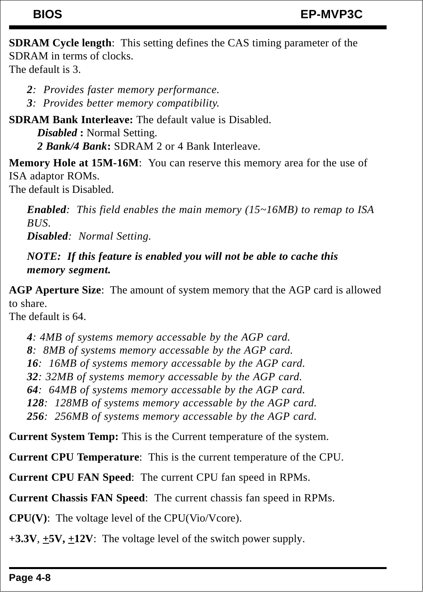**SDRAM Cycle length**: This setting defines the CAS timing parameter of the SDRAM in terms of clocks.

The default is 3.

- *2: Provides faster memory performance.*
- *3: Provides better memory compatibility.*

**SDRAM Bank Interleave:** The default value is Disabled. *Disabled* **:** Normal Setting. *2 Bank/4 Bank***:** SDRAM 2 or 4 Bank Interleave.

**Memory Hole at 15M-16M**: You can reserve this memory area for the use of ISA adaptor ROMs. The default is Disabled.

*Enabled: This field enables the main memory (15~16MB) to remap to ISA BUS.*

*Disabled: Normal Setting.*

*NOTE: If this feature is enabled you will not be able to cache this memory segment.*

**AGP Aperture Size**: The amount of system memory that the AGP card is allowed to share.

The default is 64.

*: 4MB of systems memory accessable by the AGP card. : 8MB of systems memory accessable by the AGP card. : 16MB of systems memory accessable by the AGP card. : 32MB of systems memory accessable by the AGP card. : 64MB of systems memory accessable by the AGP card. : 128MB of systems memory accessable by the AGP card. : 256MB of systems memory accessable by the AGP card.*

**Current System Temp:** This is the Current temperature of the system.

**Current CPU Temperature**: This is the current temperature of the CPU.

**Current CPU FAN Speed**: The current CPU fan speed in RPMs.

**Current Chassis FAN Speed**: The current chassis fan speed in RPMs.

**CPU(V)**: The voltage level of the CPU(Vio/Vcore).

**+3.3V**, **+5V, +12V**: The voltage level of the switch power supply.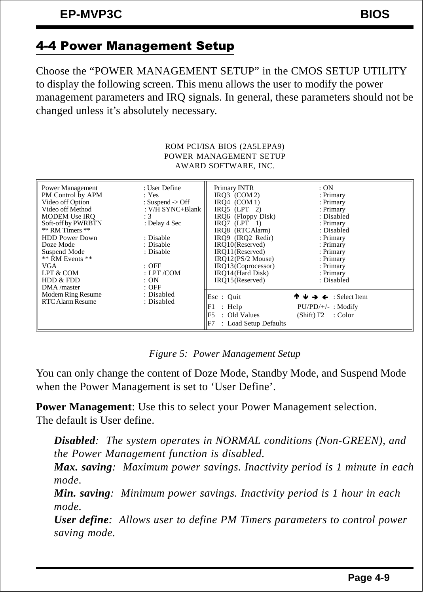#### 4-4 Power Management Setup

Choose the "POWER MANAGEMENT SETUP" in the CMOS SETUP UTILITY to display the following screen. This menu allows the user to modify the power management parameters and IRQ signals. In general, these parameters should not be changed unless it's absolutely necessary.

> ROM PCI/ISA BIOS (2A5LEPA9) POWER MANAGEMENT SETUP AWARD SOFTWARE, INC.

| <b>Power Management</b><br>PM Control by APM<br>Video off Option<br>Video off Method<br><b>MODEM Use IRO</b><br>Soft-off by PWRBTN<br>** RM Timers **<br><b>HDD</b> Power Down<br>Doze Mode<br>Suspend Mode<br>** RM Events **<br>VGA | : User Define<br>: Yes<br>: Suspend $\rightarrow$ Off<br>: V/H SYNC+Blank<br>:3<br>: Delay 4 Sec<br>: Disable<br>: Disable<br>: Disable<br>$:$ OFF | Primary INTR<br>$IRO3$ (COM 2)<br>IRO4 $(COM 1)$<br>$IRO5$ (LPT 2)<br>IRQ6 (Floppy Disk)<br>$IRO7$ (LPT 1)<br>IRO8 (RTC Alarm)<br>IRO9 (IRO2 Redir)<br>IRO10(Reserved)<br>IRO11 (Reserved)<br>IRO12(PS/2 Mouse)<br>IRO13(Coprocessor) | :ON<br>: Primary<br>: Primary<br>: Primary<br>: Disabled<br>: Primary<br>: Disabled<br>: Primary<br>: Primary<br>: Primary<br>: Primary<br>: Primary |
|---------------------------------------------------------------------------------------------------------------------------------------------------------------------------------------------------------------------------------------|----------------------------------------------------------------------------------------------------------------------------------------------------|---------------------------------------------------------------------------------------------------------------------------------------------------------------------------------------------------------------------------------------|------------------------------------------------------------------------------------------------------------------------------------------------------|
| LPT & COM<br>HDD & FDD                                                                                                                                                                                                                | : LPT $/COM$<br>: ON                                                                                                                               | IRO14(Hard Disk)<br>IRO15(Reserved)                                                                                                                                                                                                   | : Primary<br>: Disabled                                                                                                                              |
| DMA /master<br>Modem Ring Resume<br>RTC Alarm Resume                                                                                                                                                                                  | $:$ OFF<br>: Disabled<br>: Disabled                                                                                                                | Esc : Out                                                                                                                                                                                                                             | $\uparrow \uparrow \rightarrow \leftarrow$ : Select Item                                                                                             |
|                                                                                                                                                                                                                                       |                                                                                                                                                    | F1<br>: Help<br>F <sub>5</sub><br>: Old Values<br>F7<br>: Load Setup Defaults                                                                                                                                                         | $PU/PD/+/-$ : Modify<br>(Shift) F2 : Color                                                                                                           |

*Figure 5: Power Management Setup*

You can only change the content of Doze Mode, Standby Mode, and Suspend Mode when the Power Management is set to 'User Define'.

**Power Management**: Use this to select your Power Management selection. The default is User define.

*Disabled: The system operates in NORMAL conditions (Non-GREEN), and the Power Management function is disabled.*

*Max. saving: Maximum power savings. Inactivity period is 1 minute in each mode.*

*Min. saving: Minimum power savings. Inactivity period is 1 hour in each mode.*

*User define: Allows user to define PM Timers parameters to control power saving mode.*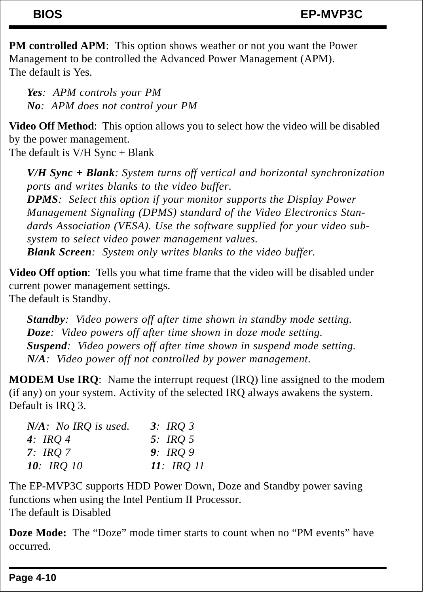**PM controlled APM**: This option shows weather or not you want the Power Management to be controlled the Advanced Power Management (APM). The default is Yes.

*Yes: APM controls your PM No: APM does not control your PM*

**Video Off Method**: This option allows you to select how the video will be disabled by the power management. The default is V/H Sync + Blank

*V/H Sync + Blank: System turns off vertical and horizontal synchronization*

*ports and writes blanks to the video buffer. DPMS: Select this option if your monitor supports the Display Power Management Signaling (DPMS) standard of the Video Electronics Standards Association (VESA). Use the software supplied for your video subsystem to select video power management values. Blank Screen: System only writes blanks to the video buffer.*

**Video Off option**: Tells you what time frame that the video will be disabled under current power management settings. The default is Standby.

*Standby: Video powers off after time shown in standby mode setting. Doze: Video powers off after time shown in doze mode setting. Suspend: Video powers off after time shown in suspend mode setting. N/A: Video power off not controlled by power management.*

**MODEM Use IRQ**: Name the interrupt request (IRQ) line assigned to the modem (if any) on your system. Activity of the selected IRQ always awakens the system. Default is IRQ 3.

| N/A: No IRQ is used. | 3: IRO.3     |
|----------------------|--------------|
| 4: IRQ 4             | 5: $IRO$ 5   |
| 7: IRQ 7             | 9: IRO.9     |
| 10: IRQ 10           | $11:$ IRQ 11 |

The EP-MVP3C supports HDD Power Down, Doze and Standby power saving functions when using the Intel Pentium II Processor. The default is Disabled

**Doze Mode:** The "Doze" mode timer starts to count when no "PM events" have occurred.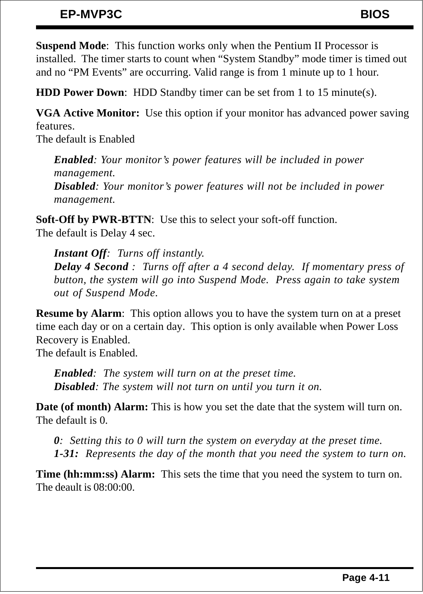**Suspend Mode**: This function works only when the Pentium II Processor is installed. The timer starts to count when "System Standby" mode timer is timed out and no "PM Events" are occurring. Valid range is from 1 minute up to 1 hour.

**HDD Power Down**: HDD Standby timer can be set from 1 to 15 minute(s).

**VGA Active Monitor:** Use this option if your monitor has advanced power saving features.

The default is Enabled

*Enabled: Your monitor's power features will be included in power management. Disabled: Your monitor's power features will not be included in power management.*

**Soft-Off by PWR-BTTN**: Use this to select your soft-off function. The default is Delay 4 sec.

*Instant Off: Turns off instantly. Delay 4 Second : Turns off after a 4 second delay. If momentary press of button, the system will go into Suspend Mode. Press again to take system out of Suspend Mode.*

**Resume by Alarm:** This option allows you to have the system turn on at a preset time each day or on a certain day. This option is only available when Power Loss Recovery is Enabled.

The default is Enabled.

*Enabled: The system will turn on at the preset time. Disabled: The system will not turn on until you turn it on.*

**Date (of month) Alarm:** This is how you set the date that the system will turn on. The default is 0.

*0: Setting this to 0 will turn the system on everyday at the preset time. 1-31: Represents the day of the month that you need the system to turn on.*

**Time (hh:mm:ss) Alarm:** This sets the time that you need the system to turn on. The deault is 08:00:00.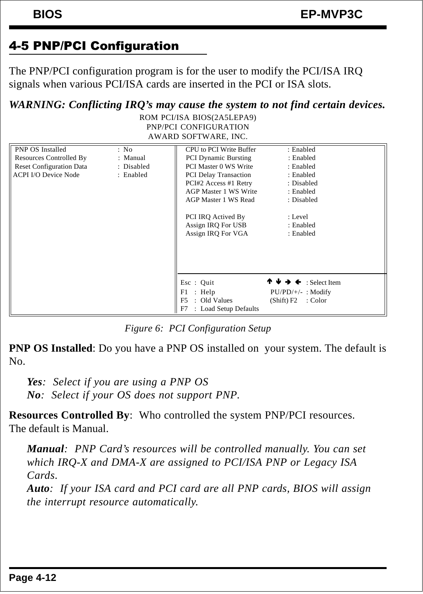## 4-5 PNP/PCI Configuration

The PNP/PCI configuration program is for the user to modify the PCI/ISA IRQ signals when various PCI/ISA cards are inserted in the PCI or ISA slots.

*WARNING: Conflicting IRQ's may cause the system to not find certain devices.*

ROM PCI/ISA BIOS(2A5LEPA9) PNP/PCI CONFIGURATION AWARD SOFTWARE, INC.

| CPU to PCI Write Buffer<br>: Enabled                                  |
|-----------------------------------------------------------------------|
| <b>PCI Dynamic Bursting</b><br>: Enabled                              |
| PCI Master 0 WS Write<br>: Enabled                                    |
| <b>PCI Delay Transaction</b><br>: Enabled                             |
| PCI#2 Access #1 Retry<br>: Disabled                                   |
| AGP Master 1 WS Write<br>: Enabled                                    |
| : Disabled<br>AGP Master 1 WS Read                                    |
| PCI IRO Actived By<br>: Level                                         |
| Assign IRQ For USB<br>: Enabled                                       |
| Assign IRO For VGA<br>: Enabled                                       |
|                                                                       |
|                                                                       |
|                                                                       |
|                                                                       |
|                                                                       |
| $\uparrow \uparrow \rightarrow \leftarrow$ : Select Item<br>Esc : Out |
| F1 : Help<br>$PU/PD/+/-$ : Modify                                     |
| F <sub>5</sub><br>: Old Values<br>(Shift) F2<br>: Color               |
| F7<br>: Load Setup Defaults                                           |
| : Manual<br>: Disabled<br>: Enabled                                   |

*Figure 6: PCI Configuration Setup*

**PNP OS Installed**: Do you have a PNP OS installed on your system. The default is No.

*Yes: Select if you are using a PNP OS*

*No: Select if your OS does not support PNP.*

**Resources Controlled By**: Who controlled the system PNP/PCI resources. The default is Manual.

*Manual: PNP Card's resources will be controlled manually. You can set which IRQ-X and DMA-X are assigned to PCI/ISA PNP or Legacy ISA Cards.*

*Auto: If your ISA card and PCI card are all PNP cards, BIOS will assign the interrupt resource automatically.*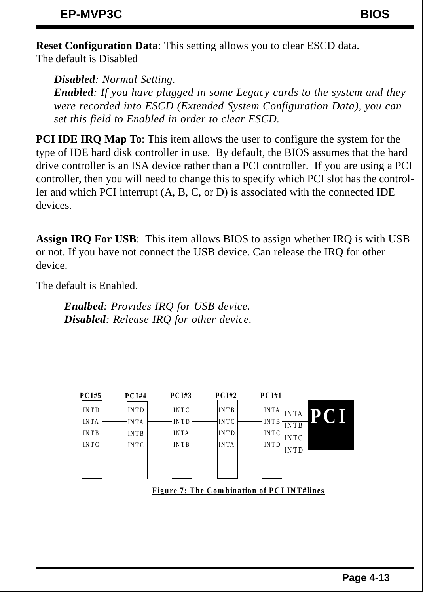**Reset Configuration Data**: This setting allows you to clear ESCD data. The default is Disabled

*Disabled: Normal Setting. Enabled: If you have plugged in some Legacy cards to the system and they were recorded into ESCD (Extended System Configuration Data), you can set this field to Enabled in order to clear ESCD.*

**PCI IDE IRQ Map To:** This item allows the user to configure the system for the type of IDE hard disk controller in use. By default, the BIOS assumes that the hard drive controller is an ISA device rather than a PCI controller. If you are using a PCI controller, then you will need to change this to specify which PCI slot has the controller and which PCI interrupt (A, B, C, or D) is associated with the connected IDE devices.

**Assign IRQ For USB**: This item allows BIOS to assign whether IRQ is with USB or not. If you have not connect the USB device. Can release the IRQ for other device.

The default is Enabled.

*Enalbed: Provides IRQ for USB device. Disabled: Release IRQ for other device.*



**Figure 7: T he C om bination of P C I IN T #lines**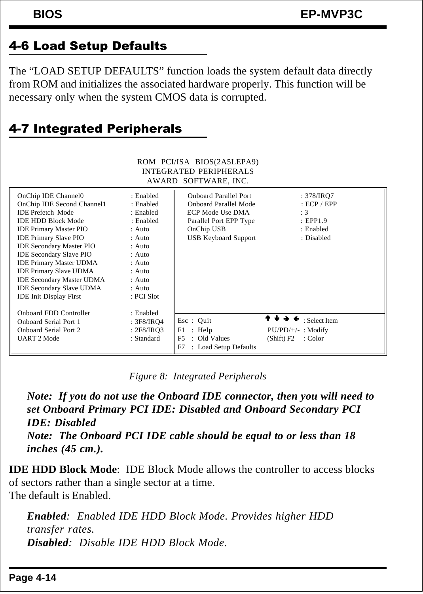#### 4-6 Load Setup Defaults

The "LOAD SETUP DEFAULTS" function loads the system default data directly from ROM and initializes the associated hardware properly. This function will be necessary only when the system CMOS data is corrupted.

> ROM PCI/ISA BIOS(2A5LEPA9) INTEGRATED PERIPHERALS

|                                                                                                                                                                                                                                                                                                                                                                                                                             |                                                                                                                                                  | <u>IN LEATH A LEEP TEANTH HEAN AT A</u><br>AWARD SOFTWARE, INC.                                                                                  |                                                                                                           |
|-----------------------------------------------------------------------------------------------------------------------------------------------------------------------------------------------------------------------------------------------------------------------------------------------------------------------------------------------------------------------------------------------------------------------------|--------------------------------------------------------------------------------------------------------------------------------------------------|--------------------------------------------------------------------------------------------------------------------------------------------------|-----------------------------------------------------------------------------------------------------------|
| OnChip IDE Channel0<br>OnChip IDE Second Channel1<br><b>IDE Prefetch Mode</b><br><b>IDE HDD Block Mode</b><br><b>IDE Primary Master PIO</b><br><b>IDE Primary Slave PIO</b><br><b>IDE Secondary Master PIO</b><br><b>IDE Secondary Slave PIO</b><br><b>IDE Primary Master UDMA</b><br><b>IDE Primary Slave UDMA</b><br><b>IDE Secondary Master UDMA</b><br><b>IDE Secondary Slave UDMA</b><br><b>IDE Init Display First</b> | : Enabled<br>: Enabled<br>: Enabled<br>: Enabled<br>: Auto<br>$:$ Auto<br>: Auto<br>: Auto<br>: Auto<br>: Auto<br>: Auto<br>: Auto<br>: PCI Slot | <b>Onboard Parallel Port</b><br>Onboard Parallel Mode<br>ECP Mode Use DMA<br>Parallel Port EPP Type<br>OnChip USB<br><b>USB Keyboard Support</b> | : 378/IRO7<br>ECP / EPP<br>:3<br>EPP1.9<br>: Enabled<br>: Disabled                                        |
| Onboard FDD Controller<br><b>Onboard Serial Port 1</b><br><b>Onboard Serial Port 2</b><br><b>UART 2 Mode</b>                                                                                                                                                                                                                                                                                                                | : Enabled<br>: 3F8/IRO4<br>: $2F8/IRO3$<br>: Standard                                                                                            | Esc : Quit<br>$\therefore$ Help<br>F1<br>: Old Values<br>F <sub>5</sub><br>F7<br>: Load Setup Defaults                                           | $\uparrow \uparrow \rightarrow \leftarrow$ : Select Item<br>$PU/PD/+/-$ : Modify<br>(Shift) F2<br>: Color |

#### 4-7 Integrated Peripherals

*Figure 8: Integrated Peripherals*

*Note: If you do not use the Onboard IDE connector, then you will need to set Onboard Primary PCI IDE: Disabled and Onboard Secondary PCI IDE: Disabled Note: The Onboard PCI IDE cable should be equal to or less than 18 inches (45 cm.).*

**IDE HDD Block Mode**: IDE Block Mode allows the controller to access blocks of sectors rather than a single sector at a time. The default is Enabled.

*Enabled: Enabled IDE HDD Block Mode. Provides higher HDD transfer rates. Disabled: Disable IDE HDD Block Mode.*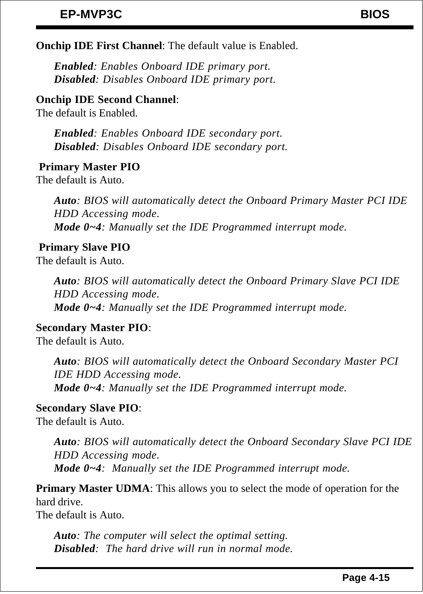**Onchip IDE First Channel**: The default value is Enabled.

*Enabled: Enables Onboard IDE primary port. Disabled: Disables Onboard IDE primary port.*

**Onchip IDE Second Channel**:

The default is Enabled.

*Enabled: Enables Onboard IDE secondary port. Disabled: Disables Onboard IDE secondary port.*

#### **Primary Master PIO**

The default is Auto.

*Auto: BIOS will automatically detect the Onboard Primary Master PCI IDE HDD Accessing mode. Mode 0~4: Manually set the IDE Programmed interrupt mode.*

#### **Primary Slave PIO**

The default is Auto.

*Auto: BIOS will automatically detect the Onboard Primary Slave PCI IDE HDD Accessing mode. Mode 0~4: Manually set the IDE Programmed interrupt mode.*

#### **Secondary Master PIO**:

The default is Auto.

*Auto: BIOS will automatically detect the Onboard Secondary Master PCI IDE HDD Accessing mode. Mode 0~4: Manually set the IDE Programmed interrupt mode.*

#### **Secondary Slave PIO**:

The default is Auto.

*Auto: BIOS will automatically detect the Onboard Secondary Slave PCI IDE HDD Accessing mode. Mode 0~4: Manually set the IDE Programmed interrupt mode.*

**Primary Master UDMA**: This allows you to select the mode of operation for the hard drive.

The default is Auto.

*Auto: The computer will select the optimal setting. Disabled: The hard drive will run in normal mode.*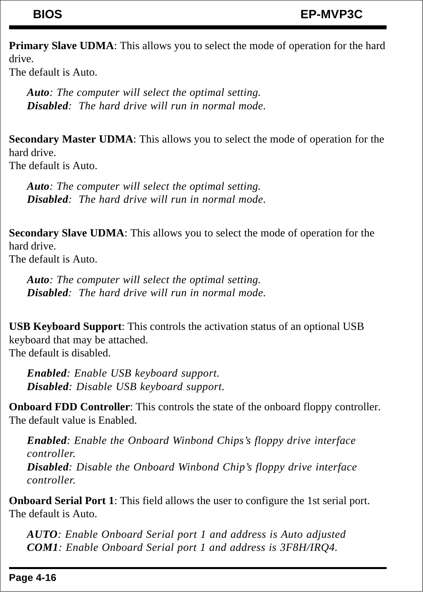**Primary Slave UDMA**: This allows you to select the mode of operation for the hard drive.

The default is Auto.

*Auto: The computer will select the optimal setting. Disabled: The hard drive will run in normal mode.*

**Secondary Master UDMA**: This allows you to select the mode of operation for the hard drive.

The default is Auto.

*Auto: The computer will select the optimal setting. Disabled: The hard drive will run in normal mode.*

**Secondary Slave UDMA**: This allows you to select the mode of operation for the hard drive. The default is Auto.

*Auto: The computer will select the optimal setting. Disabled: The hard drive will run in normal mode.*

**USB Keyboard Support**: This controls the activation status of an optional USB keyboard that may be attached. The default is disabled.

*Enabled: Enable USB keyboard support. Disabled: Disable USB keyboard support.*

**Onboard FDD Controller**: This controls the state of the onboard floppy controller. The default value is Enabled.

*Enabled: Enable the Onboard Winbond Chips's floppy drive interface controller. Disabled: Disable the Onboard Winbond Chip's floppy drive interface controller.*

**Onboard Serial Port 1**: This field allows the user to configure the 1st serial port. The default is Auto.

*AUTO: Enable Onboard Serial port 1 and address is Auto adjusted COM1: Enable Onboard Serial port 1 and address is 3F8H/IRQ4.*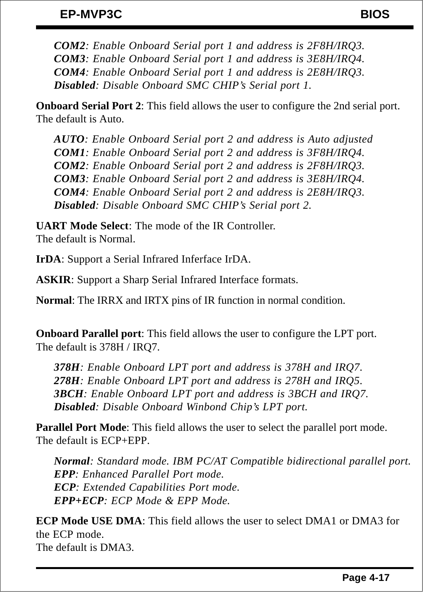*COM2: Enable Onboard Serial port 1 and address is 2F8H/IRQ3. COM3: Enable Onboard Serial port 1 and address is 3E8H/IRQ4. COM4: Enable Onboard Serial port 1 and address is 2E8H/IRQ3. Disabled: Disable Onboard SMC CHIP's Serial port 1.*

**Onboard Serial Port 2**: This field allows the user to configure the 2nd serial port. The default is Auto.

*AUTO: Enable Onboard Serial port 2 and address is Auto adjusted COM1: Enable Onboard Serial port 2 and address is 3F8H/IRQ4. COM2: Enable Onboard Serial port 2 and address is 2F8H/IRQ3. COM3: Enable Onboard Serial port 2 and address is 3E8H/IRQ4. COM4: Enable Onboard Serial port 2 and address is 2E8H/IRQ3. Disabled: Disable Onboard SMC CHIP's Serial port 2.*

**UART Mode Select**: The mode of the IR Controller. The default is Normal.

**IrDA**: Support a Serial Infrared Inferface IrDA.

**ASKIR**: Support a Sharp Serial Infrared Interface formats.

**Normal**: The IRRX and IRTX pins of IR function in normal condition.

**Onboard Parallel port**: This field allows the user to configure the LPT port. The default is 378H / IRQ7.

*378H: Enable Onboard LPT port and address is 378H and IRQ7. 278H: Enable Onboard LPT port and address is 278H and IRQ5. 3BCH: Enable Onboard LPT port and address is 3BCH and IRQ7. Disabled: Disable Onboard Winbond Chip's LPT port.*

**Parallel Port Mode**: This field allows the user to select the parallel port mode. The default is ECP+EPP.

*Normal: Standard mode. IBM PC/AT Compatible bidirectional parallel port. EPP: Enhanced Parallel Port mode. ECP: Extended Capabilities Port mode. EPP+ECP: ECP Mode & EPP Mode.*

**ECP Mode USE DMA**: This field allows the user to select DMA1 or DMA3 for the ECP mode. The default is DMA3.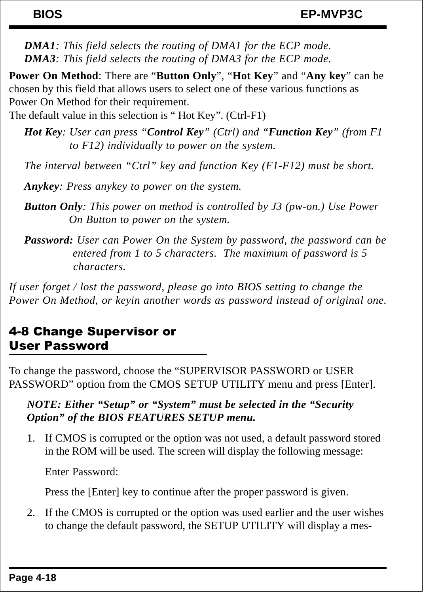*DMA1: This field selects the routing of DMA1 for the ECP mode. DMA3: This field selects the routing of DMA3 for the ECP mode.*

**Power On Method**: There are "**Button Only**", "**Hot Key**" and "**Any key**" can be chosen by this field that allows users to select one of these various functions as Power On Method for their requirement.

The default value in this selection is " Hot Key". (Ctrl-F1)

*Hot Key: User can press "Control Key" (Ctrl) and "Function Key" (from F1 to F12) individually to power on the system.*

*The interval between "Ctrl" key and function Key (F1-F12) must be short.*

*Anykey: Press anykey to power on the system.*

*Button Only: This power on method is controlled by J3 (pw-on.) Use Power On Button to power on the system.*

*Password: User can Power On the System by password, the password can be entered from 1 to 5 characters. The maximum of password is 5 characters.*

*If user forget / lost the password, please go into BIOS setting to change the Power On Method, or keyin another words as password instead of original one.*

#### 4-8 Change Supervisor or User Password

To change the password, choose the "SUPERVISOR PASSWORD or USER PASSWORD" option from the CMOS SETUP UTILITY menu and press [Enter].

#### *NOTE: Either "Setup" or "System" must be selected in the "Security Option" of the BIOS FEATURES SETUP menu.*

1. If CMOS is corrupted or the option was not used, a default password stored in the ROM will be used. The screen will display the following message:

Enter Password:

Press the [Enter] key to continue after the proper password is given.

2. If the CMOS is corrupted or the option was used earlier and the user wishes to change the default password, the SETUP UTILITY will display a mes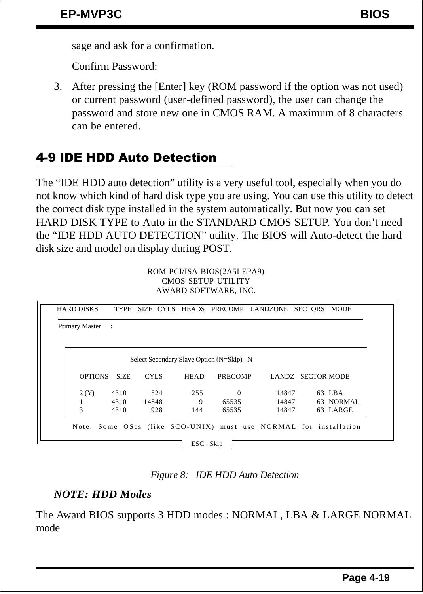sage and ask for a confirmation.

Confirm Password:

3. After pressing the [Enter] key (ROM password if the option was not used) or current password (user-defined password), the user can change the password and store new one in CMOS RAM. A maximum of 8 characters can be entered.

# 4-9 IDE HDD Auto Detection

The "IDE HDD auto detection" utility is a very useful tool, especially when you do not know which kind of hard disk type you are using. You can use this utility to detect the correct disk type installed in the system automatically. But now you can set HARD DISK TYPE to Auto in the STANDARD CMOS SETUP. You don't need the "IDE HDD AUTO DETECTION" utility. The BIOS will Auto-detect the hard disk size and model on display during POST.

> ROM PCI/ISA BIOS(2A5LEPA9) CMOS SETUP UTILITY AWARD SOFTWARE, INC.

| Primary Master : |             |             |             |                                            |       |                   |
|------------------|-------------|-------------|-------------|--------------------------------------------|-------|-------------------|
|                  |             |             |             |                                            |       |                   |
|                  |             |             |             | Select Secondary Slave Option (N=Skip) : N |       |                   |
| <b>OPTIONS</b>   | <b>SIZE</b> | <b>CYLS</b> | <b>HEAD</b> | PRECOMP                                    |       | LANDZ SECTOR MODE |
| 2(Y)             | 4310        | 524         | 255         | $\Omega$                                   | 14847 | 63 LBA            |
|                  | 4310        | 14848       | 9           | 65535                                      | 14847 | 63 NORMAL         |
| 3                | 4310        | 928         | 144         | 65535                                      | 14847 | 63 LARGE          |

*Figure 8: IDE HDD Auto Detection*

#### *NOTE: HDD Modes*

The Award BIOS supports 3 HDD modes : NORMAL, LBA & LARGE NORMAL mode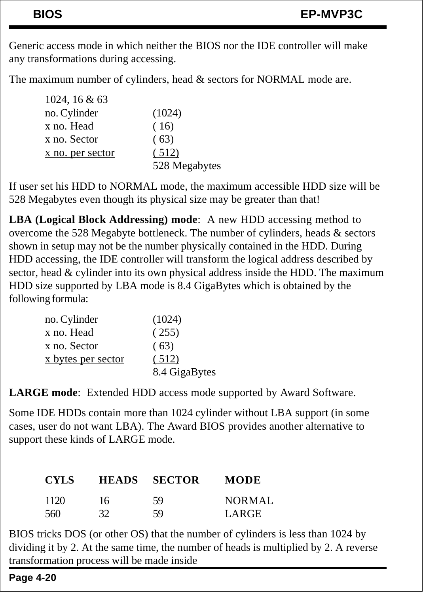Generic access mode in which neither the BIOS nor the IDE controller will make any transformations during accessing.

The maximum number of cylinders, head  $\&$  sectors for NORMAL mode are.

| (1024)        |
|---------------|
| (16)          |
| (63)          |
| (512)         |
| 528 Megabytes |
|               |

If user set his HDD to NORMAL mode, the maximum accessible HDD size will be 528 Megabytes even though its physical size may be greater than that!

**LBA (Logical Block Addressing) mode**: A new HDD accessing method to overcome the 528 Megabyte bottleneck. The number of cylinders, heads & sectors shown in setup may not be the number physically contained in the HDD. During HDD accessing, the IDE controller will transform the logical address described by sector, head & cylinder into its own physical address inside the HDD. The maximum HDD size supported by LBA mode is 8.4 GigaBytes which is obtained by the following formula:

| (1024)        |
|---------------|
| (255)         |
| (63)          |
| (512)         |
| 8.4 GigaBytes |
|               |

**LARGE mode**: Extended HDD access mode supported by Award Software.

Some IDE HDDs contain more than 1024 cylinder without LBA support (in some cases, user do not want LBA). The Award BIOS provides another alternative to support these kinds of LARGE mode.

| <b>CYLS</b> | <b>HEADS</b> | <b>SECTOR</b> | <b>MODE</b>   |
|-------------|--------------|---------------|---------------|
| 1120        | 16.          | 59            | <b>NORMAL</b> |
| 560         | 32           | 59            | LARGE         |

BIOS tricks DOS (or other OS) that the number of cylinders is less than 1024 by dividing it by 2. At the same time, the number of heads is multiplied by 2. A reverse transformation process will be made inside

#### **Page 4-20**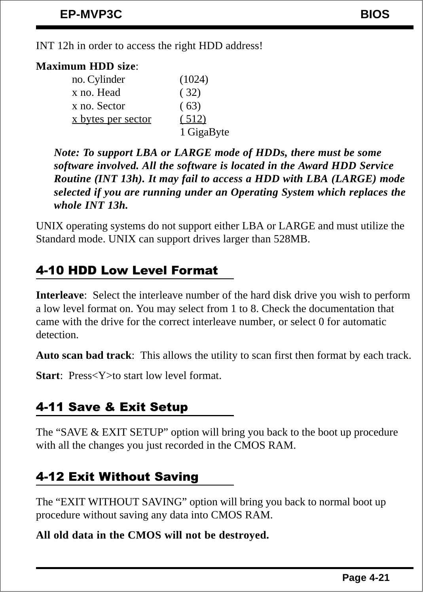INT 12h in order to access the right HDD address!

#### **Maximum HDD size**:

| no. Cylinder       | (1024)     |
|--------------------|------------|
| x no. Head         | (32)       |
| x no. Sector       | (63)       |
| x bytes per sector | (512)      |
|                    | 1 GigaByte |

*Note: To support LBA or LARGE mode of HDDs, there must be some software involved. All the software is located in the Award HDD Service Routine (INT 13h). It may fail to access a HDD with LBA (LARGE) mode selected if you are running under an Operating System which replaces the whole INT 13h.*

UNIX operating systems do not support either LBA or LARGE and must utilize the Standard mode. UNIX can support drives larger than 528MB.

# 4-10 HDD Low Level Format

**Interleave**: Select the interleave number of the hard disk drive you wish to perform a low level format on. You may select from 1 to 8. Check the documentation that came with the drive for the correct interleave number, or select 0 for automatic detection.

**Auto scan bad track**: This allows the utility to scan first then format by each track.

**Start**: Press<Y>to start low level format.

# 4-11 Save & Exit Setup

The "SAVE  $&$  EXIT SETUP" option will bring you back to the boot up procedure with all the changes you just recorded in the CMOS RAM.

# 4-12 Exit Without Saving

The "EXIT WITHOUT SAVING" option will bring you back to normal boot up procedure without saving any data into CMOS RAM.

#### **All old data in the CMOS will not be destroyed.**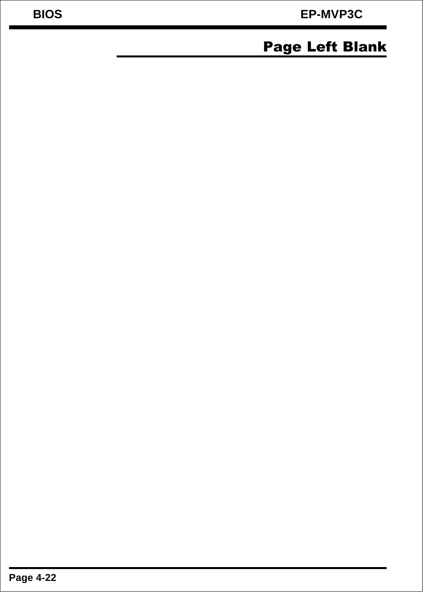# Page Left Blank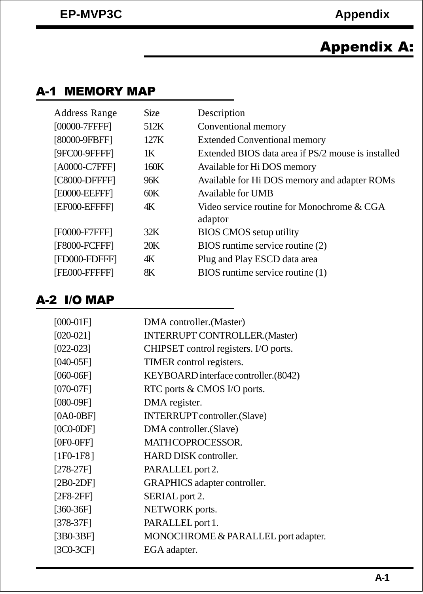# Appendix A:

# A-1 MEMORY MAP

| <b>Address Range</b> | <b>Size</b> | Description                                           |
|----------------------|-------------|-------------------------------------------------------|
| [00000-7FFFF]        | 512K        | Conventional memory                                   |
| [80000-9FBFF]        | 127K        | <b>Extended Conventional memory</b>                   |
| [9FC00-9FFFF]        | 1Κ          | Extended BIOS data area if PS/2 mouse is installed    |
| [A0000-C7FFF]        | 160K        | Available for Hi DOS memory                           |
| [C8000-DFFFF]        | 96K         | Available for Hi DOS memory and adapter ROMs          |
| [E0000-EEFFF]        | 60K         | Available for UMB                                     |
| <b>[EF000-EFFFF]</b> | 4K          | Video service routine for Monochrome & CGA<br>adaptor |
| [F0000-F7FFF]        | 32K         | <b>BIOS CMOS</b> setup utility                        |
| [F8000-FCFFF]        | 20K         | BIOS runtime service routine (2)                      |
| [FD000-FDFFF]        | 4K          | Plug and Play ESCD data area                          |
| <b>IFE000-FFFFFI</b> | 8K          | BIOS runtime service routine (1)                      |

### A-2 I/O MAP

| $[000-01$ Fl | DMA controller. (Master)              |
|--------------|---------------------------------------|
| $[020-021]$  | <b>INTERRUPT CONTROLLER.</b> (Master) |
| $[022-023]$  | CHIPSET control registers. I/O ports. |
| $[040-05F]$  | TIMER control registers.              |
| $[060-06F]$  | KEYBOARD interface controller. (8042) |
| $[070-07F]$  | RTC ports & CMOS I/O ports.           |
| $[080-09F]$  | DMA register.                         |
| $[0A0-0BF]$  | INTERRUPT controller. (Slave)         |
| $[0C0-0DF]$  | DMA controller. (Slave)               |
| $[0F0-0FF]$  | <b>MATHCOPROCESSOR.</b>               |
| $[1F0-1F8]$  | HARD DISK controller.                 |
| $[278-27F]$  | PARALLEL port 2.                      |
| $[2B0-2DF]$  | GRAPHICS adapter controller.          |
| $[2F8-2FF]$  | SERIAL port 2.                        |
| $[360-36F]$  | NETWORK ports.                        |
| $[378-37F]$  | PARALLEL port 1.                      |
| $[3B0-3BF]$  | MONOCHROME & PARALLEL port adapter.   |
| [3C0-3CF]    | EGA adapter.                          |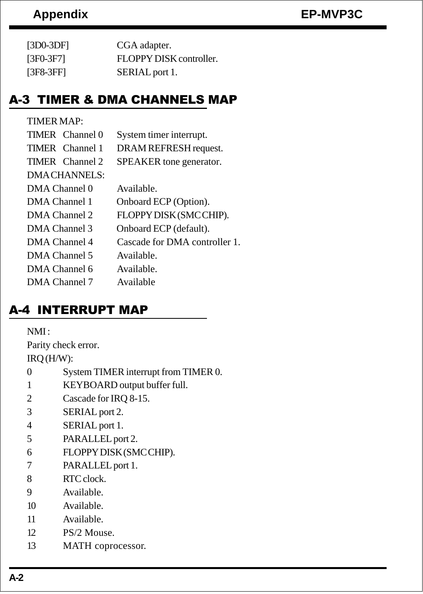| $[3D0-3DF]$ | CGA adapter.            |
|-------------|-------------------------|
| $[3F0-3F7]$ | FLOPPY DISK controller. |
| $[3F8-3FF]$ | SERIAL port 1.          |

### A-3 TIMER & DMA CHANNELS MAP

| <b>TIMER MAP:</b>      |                               |
|------------------------|-------------------------------|
| TIMER Channel 0        | System timer interrupt.       |
| <b>TIMER</b> Channel 1 | DRAM REFRESH request.         |
| <b>TIMER</b> Channel 2 | SPEAKER tone generator.       |
| DMA CHANNELS:          |                               |
| DMA Channel 0          | Available.                    |
| DMA Channel 1          | Onboard ECP (Option).         |
| DMA Channel 2          | FLOPPY DISK (SMCCHIP).        |
| DMA Channel 3          | Onboard ECP (default).        |
| DMA Channel 4          | Cascade for DMA controller 1. |
| DMA Channel 5          | Available.                    |
| DMA Channel 6          | Available.                    |
| DMA Channel 7          | Available                     |
|                        |                               |

## A-4 INTERRUPT MAP

NMI :

Parity check error.

IRQ (H/W):

- 0 System TIMER interrupt from TIMER 0.
- 1 KEYBOARD output buffer full.
- 2 Cascade for IRQ 8-15.
- 3 SERIAL port 2.
- 4 SERIAL port 1.
- 5 PARALLEL port 2.
- 6 FLOPPY DISK (SMC CHIP).
- 7 PARALLEL port 1.
- 8 RTC clock.
- 9 Available.
- 10 Available.
- 11 Available.
- 12 PS/2 Mouse.
- 13 MATH coprocessor.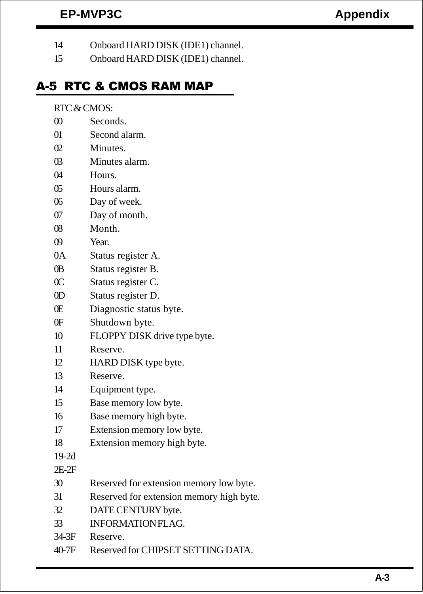- 14 Onboard HARD DISK (IDE1) channel.
- 15 Onboard HARD DISK (IDE1) channel.

#### A-5 RTC & CMOS RAM MAP

RTC & CMOS:

- 00 Seconds.
- 01 Second alarm.
- 02 Minutes.
- 03 Minutes alarm.
- 04 Hours.
- 05 Hours alarm.
- 06 Day of week.
- 07 Day of month.
- 08 Month.
- 09 Year.
- 0A Status register A.
- 0B Status register B.
- 0C Status register C.
- 0D Status register D.
- 0E Diagnostic status byte.
- 0F Shutdown byte.
- 10 FLOPPY DISK drive type byte.
- 11 Reserve.
- 12 HARD DISK type byte.
- 13 Reserve.
- 14 Equipment type.
- 15 Base memory low byte.
- 16 Base memory high byte.
- 17 Extension memory low byte.
- 18 Extension memory high byte.
- 19-2d
- 2E-2F
- 30 Reserved for extension memory low byte.
- 31 Reserved for extension memory high byte.
- 32 DATE CENTURY byte.
- 33 INFORMATION FLAG.
- 34-3F Reserve.
- 40-7F Reserved for CHIPSET SETTING DATA.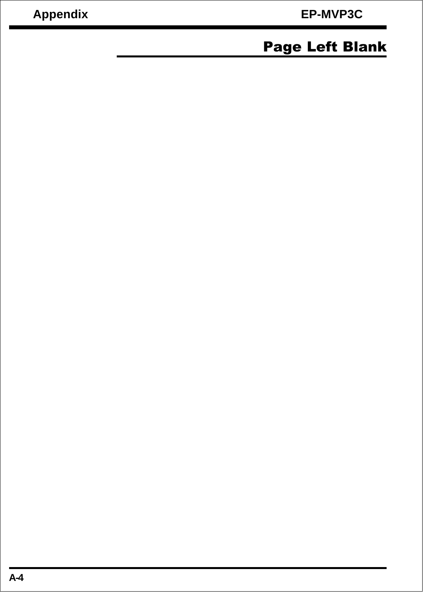# Page Left Blank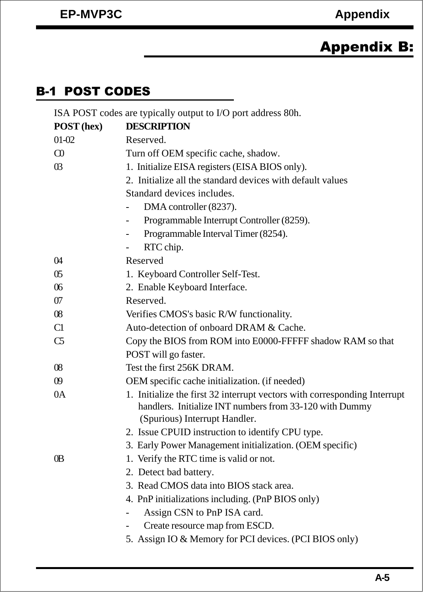# Appendix B:

## B-1 POST CODES

| ISA POST codes are typically output to I/O port address 80h.                                                                                                          |
|-----------------------------------------------------------------------------------------------------------------------------------------------------------------------|
| <b>DESCRIPTION</b>                                                                                                                                                    |
| Reserved.                                                                                                                                                             |
| Turn off OEM specific cache, shadow.                                                                                                                                  |
| 1. Initialize EISA registers (EISA BIOS only).                                                                                                                        |
| 2. Initialize all the standard devices with default values                                                                                                            |
| Standard devices includes.                                                                                                                                            |
| DMA controller (8237).                                                                                                                                                |
| Programmable Interrupt Controller (8259).<br>÷,                                                                                                                       |
| Programmable Interval Timer (8254).<br>$\overline{a}$                                                                                                                 |
| RTC chip.<br>÷,                                                                                                                                                       |
| Reserved                                                                                                                                                              |
| 1. Keyboard Controller Self-Test.                                                                                                                                     |
| 2. Enable Keyboard Interface.                                                                                                                                         |
| Reserved.                                                                                                                                                             |
| Verifies CMOS's basic R/W functionality.                                                                                                                              |
| Auto-detection of onboard DRAM & Cache.                                                                                                                               |
| Copy the BIOS from ROM into E0000-FFFFF shadow RAM so that                                                                                                            |
| POST will go faster.                                                                                                                                                  |
| Test the first 256K DRAM.                                                                                                                                             |
| OEM specific cache initialization. (if needed)                                                                                                                        |
| 1. Initialize the first 32 interrupt vectors with corresponding Interrupt<br>handlers. Initialize INT numbers from 33-120 with Dummy<br>(Spurious) Interrupt Handler. |
| 2. Issue CPUID instruction to identify CPU type.                                                                                                                      |
| 3. Early Power Management initialization. (OEM specific)                                                                                                              |
| 1. Verify the RTC time is valid or not.                                                                                                                               |
| 2. Detect bad battery.                                                                                                                                                |
| 3. Read CMOS data into BIOS stack area.                                                                                                                               |
| 4. PnP initializations including. (PnP BIOS only)                                                                                                                     |
| Assign CSN to PnP ISA card.<br>-                                                                                                                                      |
| Create resource map from ESCD.                                                                                                                                        |
| 5. Assign IO & Memory for PCI devices. (PCI BIOS only)                                                                                                                |
|                                                                                                                                                                       |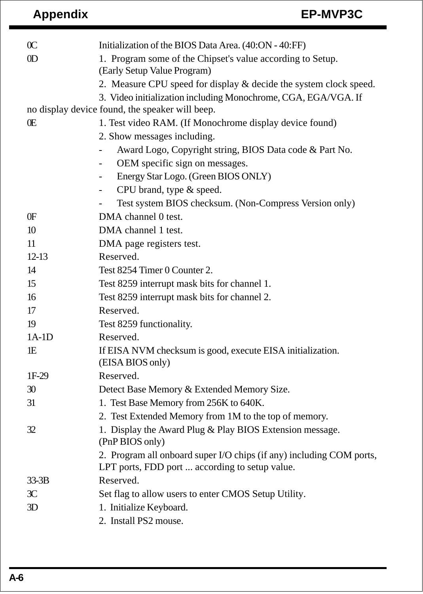| 0C      | Initialization of the BIOS Data Area. (40:ON - 40:FF)                                                                  |  |
|---------|------------------------------------------------------------------------------------------------------------------------|--|
| 0D      | 1. Program some of the Chipset's value according to Setup.                                                             |  |
|         | (Early Setup Value Program)                                                                                            |  |
|         | 2. Measure CPU speed for display & decide the system clock speed.                                                      |  |
|         | 3. Video initialization including Monochrome, CGA, EGA/VGA. If                                                         |  |
|         | no display device found, the speaker will beep.                                                                        |  |
| Œ       | 1. Test video RAM. (If Monochrome display device found)                                                                |  |
|         | 2. Show messages including.                                                                                            |  |
|         | Award Logo, Copyright string, BIOS Data code & Part No.                                                                |  |
|         | OEM specific sign on messages.<br>$\overline{\phantom{0}}$                                                             |  |
|         | Energy Star Logo. (Green BIOS ONLY)<br>-                                                                               |  |
|         | CPU brand, type & speed.                                                                                               |  |
|         | Test system BIOS checksum. (Non-Compress Version only)                                                                 |  |
| 0F      | DMA channel 0 test.                                                                                                    |  |
| 10      | DMA channel 1 test.                                                                                                    |  |
| 11      | DMA page registers test.                                                                                               |  |
| $12-13$ | Reserved.                                                                                                              |  |
| 14      | Test 8254 Timer 0 Counter 2.                                                                                           |  |
| 15      | Test 8259 interrupt mask bits for channel 1.                                                                           |  |
| 16      | Test 8259 interrupt mask bits for channel 2.                                                                           |  |
| 17      | Reserved.                                                                                                              |  |
| 19      | Test 8259 functionality.                                                                                               |  |
| $1A-1D$ | Reserved.                                                                                                              |  |
| 1E      | If EISA NVM checksum is good, execute EISA initialization.                                                             |  |
|         | (EISA BIOS only)                                                                                                       |  |
| 1F-29   | Reserved.                                                                                                              |  |
| 30      | Detect Base Memory & Extended Memory Size.                                                                             |  |
| 31      | 1. Test Base Memory from 256K to 640K.                                                                                 |  |
|         | 2. Test Extended Memory from 1M to the top of memory.                                                                  |  |
| 32      | 1. Display the Award Plug & Play BIOS Extension message.<br>(PnP BIOS only)                                            |  |
|         | 2. Program all onboard super I/O chips (if any) including COM ports,<br>LPT ports, FDD port  according to setup value. |  |
| $33-3B$ | Reserved.                                                                                                              |  |
| 3C      | Set flag to allow users to enter CMOS Setup Utility.                                                                   |  |
| 3D      | 1. Initialize Keyboard.                                                                                                |  |
|         | 2. Install PS2 mouse.                                                                                                  |  |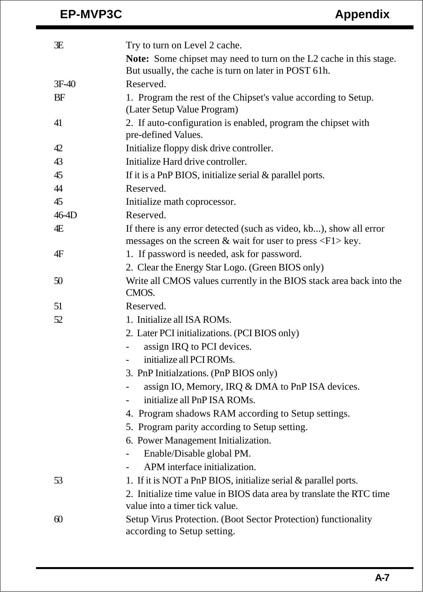| Try to turn on Level 2 cache.                                        |
|----------------------------------------------------------------------|
| Note: Some chipset may need to turn on the L2 cache in this stage.   |
| But usually, the cache is turn on later in POST 61h.                 |
| Reserved.                                                            |
| 1. Program the rest of the Chipset's value according to Setup.       |
| (Later Setup Value Program)                                          |
| 2. If auto-configuration is enabled, program the chipset with        |
| pre-defined Values.                                                  |
| Initialize floppy disk drive controller.                             |
| Initialize Hard drive controller.                                    |
| If it is a PnP BIOS, initialize serial & parallel ports.             |
| Reserved.                                                            |
| Initialize math coprocessor.                                         |
| Reserved.                                                            |
| If there is any error detected (such as video, kb), show all error   |
| messages on the screen $\&$ wait for user to press <f1> key.</f1>    |
| 1. If password is needed, ask for password.                          |
| 2. Clear the Energy Star Logo. (Green BIOS only)                     |
| Write all CMOS values currently in the BIOS stack area back into the |
| CMOS.                                                                |
| Reserved.                                                            |
| 1. Initialize all ISA ROMs.                                          |
| 2. Later PCI initializations. (PCI BIOS only)                        |
| assign IRQ to PCI devices.                                           |
| initialize all PCI ROMs.                                             |
| 3. PnP Initialzations. (PnP BIOS only)                               |
| assign IO, Memory, IRQ & DMA to PnP ISA devices.                     |
| initialize all PnP ISA ROMs.                                         |
| 4. Program shadows RAM according to Setup settings.                  |
| 5. Program parity according to Setup setting.                        |
| 6. Power Management Initialization.                                  |
| Enable/Disable global PM.<br>$\frac{1}{2}$                           |
| APM interface initialization.                                        |
| 1. If it is NOT a PnP BIOS, initialize serial & parallel ports.      |
| 2. Initialize time value in BIOS data area by translate the RTC time |
| value into a timer tick value.                                       |
| Setup Virus Protection. (Boot Sector Protection) functionality       |
| according to Setup setting.                                          |
|                                                                      |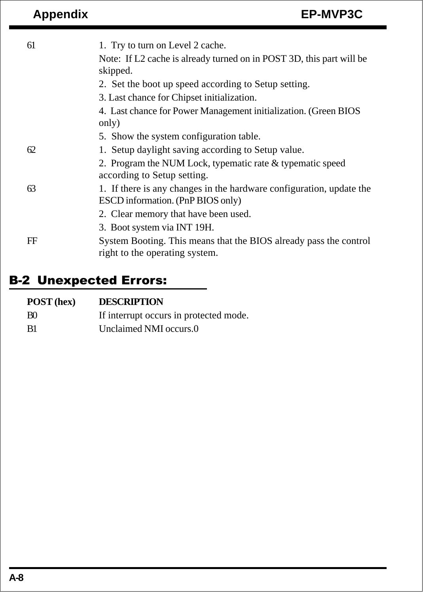| <b>Appendix</b> | EP-MVP3C                                                                                                  |
|-----------------|-----------------------------------------------------------------------------------------------------------|
| 61              | 1. Try to turn on Level 2 cache.                                                                          |
|                 | Note: If L2 cache is already turned on in POST 3D, this part will be<br>skipped.                          |
|                 | 2. Set the boot up speed according to Setup setting.                                                      |
|                 | 3. Last chance for Chipset initialization.                                                                |
|                 | 4. Last chance for Power Management initialization. (Green BIOS<br>only)                                  |
|                 | 5. Show the system configuration table.                                                                   |
| 62              | 1. Setup daylight saving according to Setup value.                                                        |
|                 | 2. Program the NUM Lock, typematic rate & typematic speed<br>according to Setup setting.                  |
| 63              | 1. If there is any changes in the hardware configuration, update the<br>ESCD information. (PnP BIOS only) |
|                 | 2. Clear memory that have been used.                                                                      |
|                 | 3. Boot system via INT 19H.                                                                               |
| FF              | System Booting. This means that the BIOS already pass the control<br>right to the operating system.       |

# B-2 Unexpected Errors:

| POST (hex)     | <b>DESCRIPTION</b>                     |  |
|----------------|----------------------------------------|--|
| B <sub>0</sub> | If interrupt occurs in protected mode. |  |
| B1             | Unclaimed NMI occurs.0                 |  |